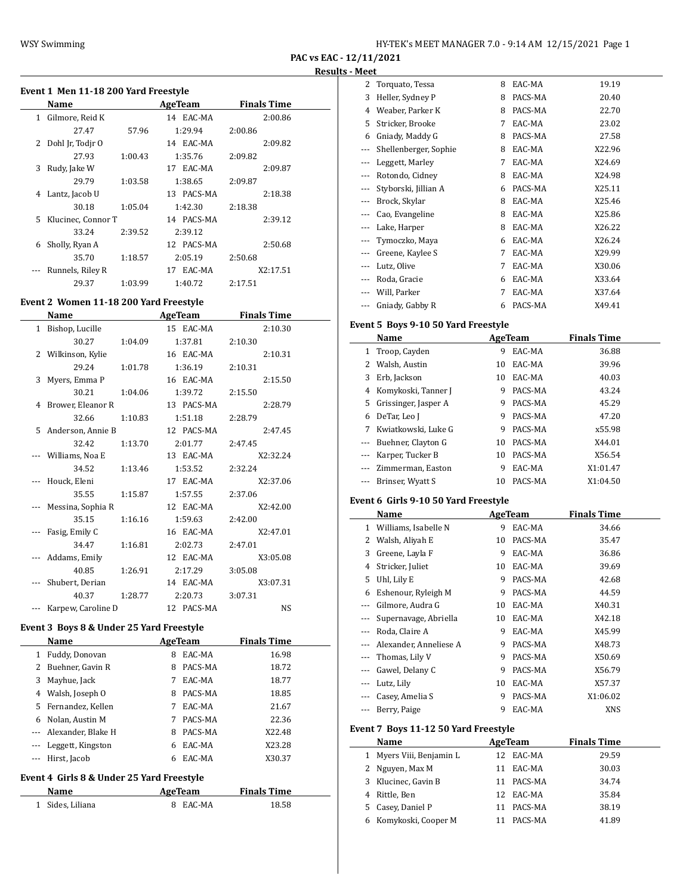$\overline{a}$ 

 $\overline{\phantom{0}}$ 

# **Event 1 Men 11-18 200 Yard Freestyle**

|    | Name               |         | <b>AgeTeam</b> | <b>Finals Time</b> |
|----|--------------------|---------|----------------|--------------------|
|    | 1 Gilmore, Reid K  |         | 14 EAC-MA      | 2:00.86            |
|    | 27.47              | 57.96   | 1:29.94        | 2:00.86            |
|    | 2 Dohl Jr. Todir O |         | 14 EAC-MA      | 2:09.82            |
|    | 27.93              | 1:00.43 | 1:35.76        | 2:09.82            |
| 3  | Rudy, Jake W       |         | 17 EAC-MA      | 2:09.87            |
|    | 29.79              | 1:03.58 | 1:38.65        | 2:09.87            |
| 4  | Lantz, Jacob U     |         | 13 PACS-MA     | 2:18.38            |
|    | 30.18              | 1:05.04 | 1:42.30        | 2:18.38            |
| 5. | Klucinec, Connor T |         | 14 PACS-MA     | 2:39.12            |
|    | 33.24              | 2:39.52 | 2:39.12        |                    |
| 6  | Sholly, Ryan A     |         | 12 PACS-MA     | 2:50.68            |
|    | 35.70              | 1:18.57 | 2:05.19        | 2:50.68            |
|    | Runnels, Riley R   |         | 17 EAC-MA      | X2:17.51           |
|    | 29.37              | 1:03.99 | 1:40.72        | 2:17.51            |

# **Event 2 Women 11-18 200 Yard Freestyle**

| Name                |         | <b>AgeTeam</b> | <b>Finals Time</b> |
|---------------------|---------|----------------|--------------------|
| 1 Bishop, Lucille   |         | 15 EAC-MA      | 2:10.30            |
| 30.27               | 1:04.09 | 1:37.81        | 2:10.30            |
| 2 Wilkinson, Kylie  |         | 16 EAC-MA      | 2:10.31            |
| 29.24               | 1:01.78 | 1:36.19        | 2:10.31            |
| 3 Myers, Emma P     |         | 16 EAC-MA      | 2:15.50            |
| 30.21               | 1:04.06 | 1:39.72        | 2:15.50            |
| 4 Brower, Eleanor R |         | 13 PACS-MA     | 2:28.79            |
| 32.66               | 1:10.83 | 1:51.18        | 2:28.79            |
| 5 Anderson, Annie B |         | 12 PACS-MA     | 2:47.45            |
| 32.42               | 1:13.70 | 2:01.77        | 2:47.45            |
| Williams, Noa E     |         | 13 EAC-MA      | X2:32.24           |
| 34.52               | 1:13.46 | 1:53.52        | 2:32.24            |
| Houck, Eleni        |         | 17 EAC-MA      | X2:37.06           |
| 35.55               | 1:15.87 | 1:57.55        | 2:37.06            |
| Messina, Sophia R   |         | 12 EAC-MA      | X2:42.00           |
| 35.15               | 1:16.16 | 1:59.63        | 2:42.00            |
| Fasig, Emily C      |         | 16 EAC-MA      | X2:47.01           |
| 34.47               | 1:16.81 | 2:02.73        | 2:47.01            |
| Addams, Emily       |         | 12 EAC-MA      | X3:05.08           |
| 40.85               | 1:26.91 | 2:17.29        | 3:05.08            |
| Shubert, Derian     |         | 14 EAC-MA      | X3:07.31           |
| 40.37               | 1:28.77 | 2:20.73        | 3:07.31            |
| Karpew, Caroline D  |         | 12 PACS-MA     | <b>NS</b>          |

# **Event 3 Boys 8 & Under 25 Yard Freestyle**

|   | Name                |   | AgeTeam | <b>Finals Time</b> |
|---|---------------------|---|---------|--------------------|
| 1 | Fuddy, Donovan      | 8 | EAC-MA  | 16.98              |
| 2 | Buehner, Gavin R    | 8 | PACS-MA | 18.72              |
| 3 | Mayhue, Jack        | 7 | EAC-MA  | 18.77              |
| 4 | Walsh, Joseph O     | 8 | PACS-MA | 18.85              |
|   | 5 Fernandez, Kellen |   | EAC-MA  | 21.67              |
| 6 | Nolan, Austin M     | 7 | PACS-MA | 22.36              |
|   | Alexander, Blake H  | 8 | PACS-MA | X22.48             |
|   | Leggett, Kingston   | 6 | EAC-MA  | X23.28             |
|   | Hirst, Jacob        | 6 | EAC-MA  | X30.37             |
|   |                     |   |         |                    |

### **Event 4 Girls 8 & Under 25 Yard Freestyle**

| Name             | AgeTeam  | <b>Finals Time</b> |  |
|------------------|----------|--------------------|--|
| 1 Sides, Liliana | 8 EAC-MA | 18.58              |  |

| 2     | Torquato, Tessa       | 8 | EAC-MA  | 19.19  |
|-------|-----------------------|---|---------|--------|
| 3     | Heller, Sydney P      | 8 | PACS-MA | 20.40  |
| 4     | Weaber, Parker K      | 8 | PACS-MA | 22.70  |
| 5     | Stricker, Brooke      | 7 | EAC-MA  | 23.02  |
| 6     | Gniady, Maddy G       | 8 | PACS-MA | 27.58  |
| $---$ | Shellenberger, Sophie | 8 | EAC-MA  | X22.96 |
|       | Leggett, Marley       | 7 | EAC-MA  | X24.69 |
| ---   | Rotondo, Cidney       | 8 | EAC-MA  | X24.98 |
|       | Styborski, Jillian A  | 6 | PACS-MA | X25.11 |
| ---   | Brock, Skylar         | 8 | EAC-MA  | X25.46 |
|       | Cao, Evangeline       | 8 | EAC-MA  | X25.86 |
| $---$ | Lake, Harper          | 8 | EAC-MA  | X26.22 |
|       | Tymoczko, Maya        | 6 | EAC-MA  | X26.24 |
| ---   | Greene, Kaylee S      | 7 | EAC-MA  | X29.99 |
|       | Lutz, Olive           | 7 | EAC-MA  | X30.06 |
|       | Roda, Gracie          | 6 | EAC-MA  | X33.64 |
|       | Will, Parker          | 7 | EAC-MA  | X37.64 |
|       | Gniady, Gabby R       | 6 | PACS-MA | X49.41 |

# **Event 5 Boys 9-10 50 Yard Freestyle**

|     | Name                 |    | AgeTeam | <b>Finals Time</b> |  |
|-----|----------------------|----|---------|--------------------|--|
|     | Troop, Cayden        | 9  | EAC-MA  | 36.88              |  |
|     | Walsh, Austin        | 10 | EAC-MA  | 39.96              |  |
| 3   | Erb, Jackson         | 10 | EAC-MA  | 40.03              |  |
| 4   | Komykoski, Tanner J  | 9  | PACS-MA | 43.24              |  |
| 5.  | Grissinger, Jasper A | 9  | PACS-MA | 45.29              |  |
| 6   | DeTar, Leo J         | 9  | PACS-MA | 47.20              |  |
| 7   | Kwiatkowski, Luke G  | 9  | PACS-MA | x55.98             |  |
|     | Buehner, Clayton G   | 10 | PACS-MA | X44.01             |  |
|     | Karper, Tucker B     | 10 | PACS-MA | X56.54             |  |
|     | Zimmerman, Easton    | 9  | EAC-MA  | X1:01.47           |  |
| --- | Brinser, Wyatt S     | 10 | PACS-MA | X1:04.50           |  |

#### **Event 6 Girls 9-10 50 Yard Freestyle**

|       | Name                                 |    | <b>AgeTeam</b> | <b>Finals Time</b> |  |
|-------|--------------------------------------|----|----------------|--------------------|--|
| 1     | Williams, Isabelle N                 | 9  | EAC-MA         | 34.66              |  |
| 2     | Walsh, Aliyah E                      | 10 | PACS-MA        | 35.47              |  |
| 3     | Greene, Layla F                      | 9  | EAC-MA         | 36.86              |  |
| 4     | Stricker, Juliet                     | 10 | EAC-MA         | 39.69              |  |
| 5     | Uhl, Lily E                          | 9  | PACS-MA        | 42.68              |  |
| 6     | Eshenour, Ryleigh M                  | 9  | PACS-MA        | 44.59              |  |
| ---   | Gilmore, Audra G                     | 10 | EAC-MA         | X40.31             |  |
| $---$ | Supernavage, Abriella                | 10 | EAC-MA         | X42.18             |  |
| ---   | Roda, Claire A                       | 9  | EAC-MA         | X45.99             |  |
|       | Alexander, Anneliese A               | 9  | PACS-MA        | X48.73             |  |
| $---$ | Thomas, Lily V                       | 9  | PACS-MA        | X50.69             |  |
|       | Gawel, Delany C                      | 9  | PACS-MA        | X56.79             |  |
|       | Lutz, Lily                           | 10 | EAC-MA         | X57.37             |  |
|       | Casey, Amelia S                      | 9  | PACS-MA        | X1:06.02           |  |
|       | Berry, Paige                         | 9  | EAC-MA         | XNS                |  |
|       | Event 7 Boys 11-12 50 Yard Freestyle |    |                |                    |  |
|       | Name                                 |    | AgeTeam        | <b>Finals Time</b> |  |
| 1     | Myers Viii, Benjamin L               | 12 | EAC-MA         | 29.59              |  |
| 2     | Nguyen, Max M                        | 11 | EAC-MA         | 30.03              |  |
| 3     | Klucinec, Gavin B                    | 11 | PACS-MA        | 34.74              |  |

4 Rittle, Ben 12 EAC-MA 35.84 5 Casey, Daniel P 11 PACS-MA 38.19 6 Komykoski, Cooper M 11 PACS-MA 41.89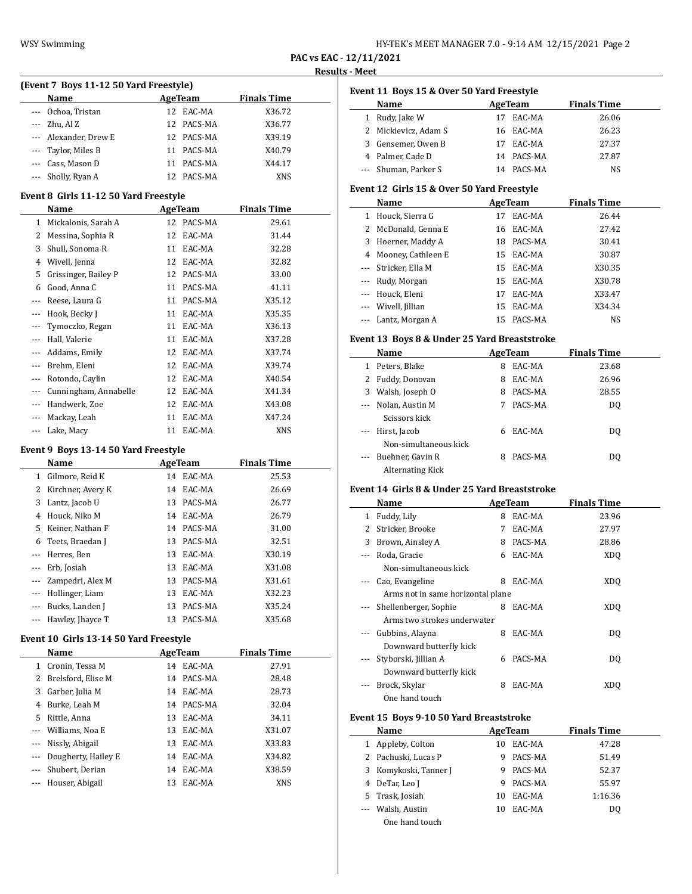| HY-TEK's MEET MANAGER 7.0 - 9:14 AM 12/15/2021 Page 2 |  |  |
|-------------------------------------------------------|--|--|
|-------------------------------------------------------|--|--|

| (Event 7 Boys 11-12 50 Yard Freestyle) |                       |     |            |                    |  |
|----------------------------------------|-----------------------|-----|------------|--------------------|--|
|                                        | Name                  |     | AgeTeam    | <b>Finals Time</b> |  |
|                                        | Ochoa, Tristan        |     | 12 EAC-MA  | X36.72             |  |
|                                        | $-$ Zhu, Al Z         |     | 12 PACS-MA | X36.77             |  |
|                                        | --- Alexander, Drew E |     | 12 PACS-MA | X39.19             |  |
|                                        | --- Taylor, Miles B   | 11  | PACS-MA    | X40.79             |  |
|                                        | --- Cass, Mason D     | 11  | PACS-MA    | X44.17             |  |
|                                        | --- Sholly, Ryan A    | 12. | PACS-MA    | <b>XNS</b>         |  |

### **Event 8 Girls 11-12 50 Yard Freestyle**

|         | Name                  |    | AgeTeam | <b>Finals Time</b> |
|---------|-----------------------|----|---------|--------------------|
| 1       | Mickalonis, Sarah A   | 12 | PACS-MA | 29.61              |
| 2       | Messina, Sophia R     | 12 | EAC-MA  | 31.44              |
| 3       | Shull, Sonoma R       | 11 | EAC-MA  | 32.28              |
| 4       | Wivell, Jenna         | 12 | EAC-MA  | 32.82              |
| 5       | Grissinger, Bailey P  | 12 | PACS-MA | 33.00              |
| 6       | Good, Anna C          | 11 | PACS-MA | 41.11              |
| $---$   | Reese, Laura G        | 11 | PACS-MA | X35.12             |
| $---$   | Hook, Becky J         | 11 | EAC-MA  | X35.35             |
|         | Tymoczko, Regan       | 11 | EAC-MA  | X36.13             |
| $---$   | Hall, Valerie         | 11 | EAC-MA  | X37.28             |
| $- - -$ | Addams, Emily         | 12 | EAC-MA  | X37.74             |
|         | Brehm, Eleni          | 12 | EAC-MA  | X39.74             |
| $---$   | Rotondo, Caylin       | 12 | EAC-MA  | X40.54             |
| $---$   | Cunningham, Annabelle | 12 | EAC-MA  | X41.34             |
|         | Handwerk, Zoe         | 12 | EAC-MA  | X43.08             |
| $- - -$ | Mackay, Leah          | 11 | EAC-MA  | X47.24             |
|         | Lake, Macy            | 11 | EAC-MA  | <b>XNS</b>         |

#### **Event 9 Boys 13-14 50 Yard Freestyle**

|          | Name              |    | AgeTeam   | <b>Finals Time</b> |
|----------|-------------------|----|-----------|--------------------|
| 1        | Gilmore, Reid K   |    | 14 EAC-MA | 25.53              |
| 2        | Kirchner, Avery K |    | 14 EAC-MA | 26.69              |
| 3        | Lantz, Jacob U    | 13 | PACS-MA   | 26.77              |
| 4        | Houck, Niko M     | 14 | EAC-MA    | 26.79              |
| 5        | Keiner, Nathan F  | 14 | PACS-MA   | 31.00              |
| 6        | Teets, Braedan J  | 13 | PACS-MA   | 32.51              |
|          | Herres, Ben       | 13 | EAC-MA    | X30.19             |
| $\cdots$ | Erb, Josiah       | 13 | EAC-MA    | X31.08             |
| $\cdots$ | Zampedri, Alex M  | 13 | PACS-MA   | X31.61             |
|          | Hollinger, Liam   | 13 | EAC-MA    | X32.23             |
|          | Bucks, Landen J   | 13 | PACS-MA   | X35.24             |
|          | Hawley, Jhayce T  | 13 | PACS-MA   | X35.68             |

# **Event 10 Girls 13-14 50 Yard Freestyle**

|          | Name                |    | AgeTeam    | <b>Finals Time</b> |
|----------|---------------------|----|------------|--------------------|
|          | Cronin, Tessa M     |    | 14 EAC-MA  | 27.91              |
| 2        | Brelsford, Elise M  |    | 14 PACS-MA | 28.48              |
| 3        | Garber, Julia M     |    | 14 EAC-MA  | 28.73              |
| 4        | Burke, Leah M       |    | 14 PACS-MA | 32.04              |
| 5        | Rittle, Anna        | 13 | EAC-MA     | 34.11              |
| $\cdots$ | Williams, Noa E     |    | 13 EAC-MA  | X31.07             |
| $\cdots$ | Nissly, Abigail     |    | 13 EAC-MA  | X33.83             |
| $\cdots$ | Dougherty, Hailey E |    | 14 EAC-MA  | X34.82             |
|          | Shubert, Derian     |    | 14 EAC-MA  | X38.59             |
|          | --- Houser, Abigail | 13 | EAC-MA     | <b>XNS</b>         |

|  |  |  | Event 11 Boys 15 & Over 50 Yard Freestyle |
|--|--|--|-------------------------------------------|
|--|--|--|-------------------------------------------|

| <b>Name</b>          | AgeTeam |            | <b>Finals Time</b> |  |
|----------------------|---------|------------|--------------------|--|
| 1 Rudy, Jake W       |         | EAC-MA     | 26.06              |  |
| 2 Mickievicz, Adam S |         | 16 EAC-MA  | 26.23              |  |
| 3 Gensemer, Owen B   | 17      | EAC-MA     | 27.37              |  |
| 4 Palmer, Cade D     |         | 14 PACS-MA | 27.87              |  |
| --- Shuman, Parker S |         | 14 PACS-MA | NS                 |  |

# **Event 12 Girls 15 & Over 50 Yard Freestyle**

|   | Name                 |    | AgeTeam   | <b>Finals Time</b> |
|---|----------------------|----|-----------|--------------------|
| 1 | Houck, Sierra G      | 17 | EAC-MA    | 26.44              |
|   | 2 McDonald, Genna E  | 16 | EAC-MA    | 27.42              |
|   | 3 Hoerner, Maddy A   | 18 | PACS-MA   | 30.41              |
|   | 4 Mooney, Cathleen E |    | 15 EAC-MA | 30.87              |
|   | --- Stricker, Ella M |    | 15 EAC-MA | X30.35             |
|   | --- Rudy, Morgan     | 15 | EAC-MA    | X30.78             |
|   | --- Houck, Eleni     | 17 | EAC-MA    | X33.47             |
|   | --- Wivell, Jillian  | 15 | EAC-MA    | X34.34             |
|   | --- Lantz, Morgan A  | 15 | PACS-MA   | NS                 |

### **Event 13 Boys 8 & Under 25 Yard Breaststroke**

|                                                                                                                                                                                                                                                                                                                                                                                                                                                                            | Name                  |   | AgeTeam | <b>Finals Time</b> |  |
|----------------------------------------------------------------------------------------------------------------------------------------------------------------------------------------------------------------------------------------------------------------------------------------------------------------------------------------------------------------------------------------------------------------------------------------------------------------------------|-----------------------|---|---------|--------------------|--|
| 1                                                                                                                                                                                                                                                                                                                                                                                                                                                                          | Peters. Blake         | 8 | EAC-MA  | 23.68              |  |
|                                                                                                                                                                                                                                                                                                                                                                                                                                                                            | 2 Fuddy, Donovan      | 8 | EAC-MA  | 26.96              |  |
| 3                                                                                                                                                                                                                                                                                                                                                                                                                                                                          | Walsh, Joseph O       | 8 | PACS-MA | 28.55              |  |
| $\cdots$                                                                                                                                                                                                                                                                                                                                                                                                                                                                   | Nolan, Austin M       |   | PACS-MA | DO.                |  |
|                                                                                                                                                                                                                                                                                                                                                                                                                                                                            | Scissors kick         |   |         |                    |  |
| $\frac{1}{2} \left( \frac{1}{2} \right) \left( \frac{1}{2} \right) \left( \frac{1}{2} \right) \left( \frac{1}{2} \right) \left( \frac{1}{2} \right) \left( \frac{1}{2} \right) \left( \frac{1}{2} \right) \left( \frac{1}{2} \right) \left( \frac{1}{2} \right) \left( \frac{1}{2} \right) \left( \frac{1}{2} \right) \left( \frac{1}{2} \right) \left( \frac{1}{2} \right) \left( \frac{1}{2} \right) \left( \frac{1}{2} \right) \left( \frac{1}{2} \right) \left( \frac$ | Hirst, Jacob          | 6 | EAC-MA  | DO.                |  |
|                                                                                                                                                                                                                                                                                                                                                                                                                                                                            | Non-simultaneous kick |   |         |                    |  |
| $\cdots$                                                                                                                                                                                                                                                                                                                                                                                                                                                                   | Buehner, Gavin R      |   | PACS-MA | DO.                |  |
|                                                                                                                                                                                                                                                                                                                                                                                                                                                                            | Alternating Kick      |   |         |                    |  |

### **Event 14 Girls 8 & Under 25 Yard Breaststroke**

|          | Name                              | AgeTeam |         | <b>Finals Time</b> |  |
|----------|-----------------------------------|---------|---------|--------------------|--|
| 1        | Fuddy, Lily                       | 8       | EAC-MA  | 23.96              |  |
| 2        | Stricker, Brooke                  | 7       | EAC-MA  | 27.97              |  |
| 3        | Brown, Ainsley A                  | 8       | PACS-MA | 28.86              |  |
| $\cdots$ | Roda, Gracie                      | 6       | EAC-MA  | XD <sub>0</sub>    |  |
|          | Non-simultaneous kick             |         |         |                    |  |
|          | Cao, Evangeline                   | 8       | EAC-MA  | <b>XDQ</b>         |  |
|          | Arms not in same horizontal plane |         |         |                    |  |
| $\cdots$ | Shellenberger, Sophie             | 8       | EAC-MA  | XDO                |  |
|          | Arms two strokes underwater       |         |         |                    |  |
|          | Gubbins, Alayna                   | 8       | EAC-MA  | DQ                 |  |
|          | Downward butterfly kick           |         |         |                    |  |
| $- - -$  | Styborski, Jillian A              | 6       | PACS-MA | DQ                 |  |
|          | Downward butterfly kick           |         |         |                    |  |
|          | Brock, Skylar                     | 8       | EAC-MA  | XDO                |  |
|          | One hand touch                    |         |         |                    |  |

### **Event 15 Boys 9-10 50 Yard Breaststroke**

| Name                  | AgeTeam |         | <b>Finals Time</b> |
|-----------------------|---------|---------|--------------------|
| 1 Appleby, Colton     | 10      | EAC-MA  | 47.28              |
| 2 Pachuski, Lucas P   | 9       | PACS-MA | 51.49              |
| 3 Komykoski, Tanner J | 9       | PACS-MA | 52.37              |
| 4 DeTar, Leo J        | 9       | PACS-MA | 55.97              |
| 5 Trask, Josiah       | 10      | EAC-MA  | 1:16.36            |
| --- Walsh, Austin     | 10      | EAC-MA  | D <sub>0</sub>     |
| One hand touch        |         |         |                    |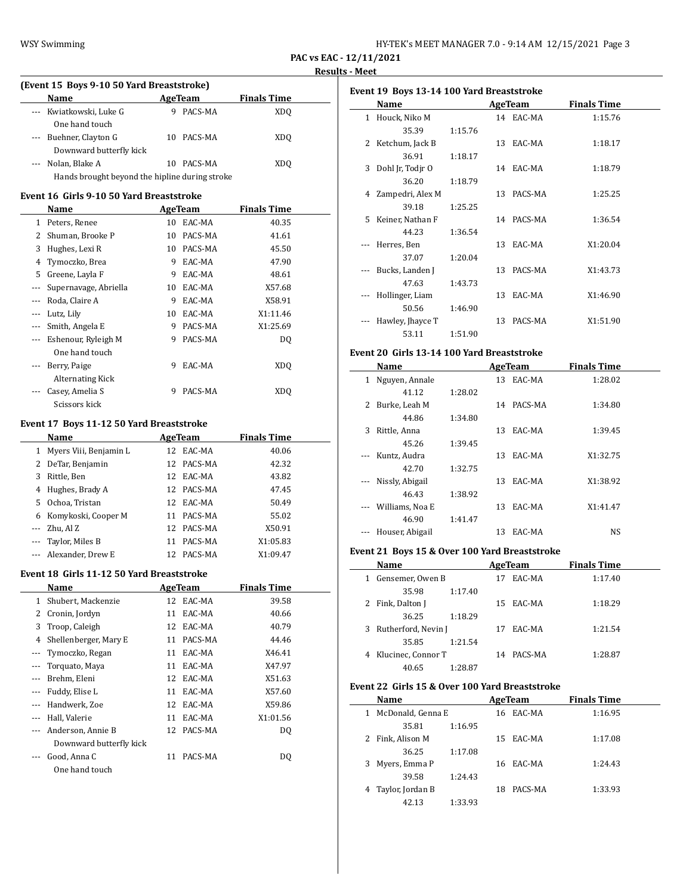| HY-TEK's MEET MANAGER 7.0 - 9:14 AM 12/15/2021 Page 3 |  |  |
|-------------------------------------------------------|--|--|
|-------------------------------------------------------|--|--|

j.

 $\overline{a}$ 

# **(Event 15 Boys 9-10 50 Yard Breaststroke) Name Age Team Finals Time** --- Kwiatkowski, Luke G 9 PACS-MA XDQ One hand touch --- Buehner, Clayton G 10 PACS-MA XDQ Downward butterfly kick --- Nolan, Blake A 10 PACS-MA XDQ

Hands brought beyond the hipline during stroke

# **Event 16 Girls 9-10 50 Yard Breaststroke**

|          | Name                  |    | AgeTeam | <b>Finals Time</b> |  |
|----------|-----------------------|----|---------|--------------------|--|
| 1        | Peters, Renee         | 10 | EAC-MA  | 40.35              |  |
| 2        | Shuman, Brooke P      | 10 | PACS-MA | 41.61              |  |
| 3        | Hughes, Lexi R        | 10 | PACS-MA | 45.50              |  |
| 4        | Tymoczko, Brea        | 9  | EAC-MA  | 47.90              |  |
| 5        | Greene, Layla F       | 9  | EAC-MA  | 48.61              |  |
|          | Supernavage, Abriella | 10 | EAC-MA  | X57.68             |  |
| $\cdots$ | Roda, Claire A        | 9  | EAC-MA  | X58.91             |  |
|          | Lutz, Lily            | 10 | EAC-MA  | X1:11.46           |  |
|          | Smith, Angela E       | 9  | PACS-MA | X1:25.69           |  |
| $---$    | Eshenour, Ryleigh M   | 9  | PACS-MA | DQ                 |  |
|          | One hand touch        |    |         |                    |  |
|          | Berry, Paige          | 9  | EAC-MA  | <b>XDQ</b>         |  |
|          | Alternating Kick      |    |         |                    |  |
|          | Casey, Amelia S       | 9  | PACS-MA | XDO                |  |
|          | Scissors kick         |    |         |                    |  |

### **Event 17 Boys 11-12 50 Yard Breaststroke**

|    | Name                   | AgeTeam |            | <b>Finals Time</b> |  |
|----|------------------------|---------|------------|--------------------|--|
|    | Myers Viii, Benjamin L |         | 12 EAC-MA  | 40.06              |  |
| 2  | DeTar, Benjamin        |         | 12 PACS-MA | 42.32              |  |
| 3  | Rittle, Ben            |         | 12 EAC-MA  | 43.82              |  |
| 4  | Hughes, Brady A        |         | 12 PACS-MA | 47.45              |  |
| 5. | Ochoa, Tristan         |         | 12 EAC-MA  | 50.49              |  |
| 6  | Komykoski, Cooper M    | 11      | PACS-MA    | 55.02              |  |
|    | $-$ Zhu, Al Z          |         | 12 PACS-MA | X50.91             |  |
|    | --- Taylor, Miles B    | 11      | PACS-MA    | X1:05.83           |  |
|    | --- Alexander, Drew E  | 12      | PACS-MA    | X1:09.47           |  |

#### **Event 18 Girls 11-12 50 Yard Breaststroke**

 $\overline{\phantom{a}}$ 

| Name                    |    |         | <b>Finals Time</b>                          |  |
|-------------------------|----|---------|---------------------------------------------|--|
| Shubert, Mackenzie      |    |         | 39.58                                       |  |
| Cronin, Jordyn          | 11 | EAC-MA  | 40.66                                       |  |
| Troop, Caleigh          |    |         | 40.79                                       |  |
| Shellenberger, Mary E   | 11 | PACS-MA | 44.46                                       |  |
| Tymoczko, Regan         | 11 | EAC-MA  | X46.41                                      |  |
| Torquato, Maya          | 11 | EAC-MA  | X47.97                                      |  |
| Brehm, Eleni            | 12 |         | X51.63                                      |  |
| Fuddy, Elise L          | 11 | EAC-MA  | X57.60                                      |  |
| Handwerk, Zoe           | 12 | EAC-MA  | X59.86                                      |  |
| Hall, Valerie           | 11 | EAC-MA  | X1:01.56                                    |  |
| Anderson, Annie B       | 12 | PACS-MA | DO                                          |  |
| Downward butterfly kick |    |         |                                             |  |
| Good, Anna C            | 11 | PACS-MA | DQ                                          |  |
| One hand touch          |    |         |                                             |  |
|                         |    |         | AgeTeam<br>12 EAC-MA<br>12 EAC-MA<br>EAC-MA |  |

| Event 19 Boys 13-14 100 Yard Breaststroke |                    |         |    |            |                    |  |  |
|-------------------------------------------|--------------------|---------|----|------------|--------------------|--|--|
|                                           | Name               |         |    | AgeTeam    | <b>Finals Time</b> |  |  |
|                                           | 1 Houck, Niko M    |         |    | 14 EAC-MA  | 1:15.76            |  |  |
|                                           | 35.39              | 1:15.76 |    |            |                    |  |  |
|                                           | 2 Ketchum, Jack B  |         |    | 13 EAC-MA  | 1:18.17            |  |  |
|                                           | 36.91              | 1:18.17 |    |            |                    |  |  |
| 3                                         | Dohl Jr, Todjr O   |         |    | 14 EAC-MA  | 1:18.79            |  |  |
|                                           | 36.20              | 1:18.79 |    |            |                    |  |  |
|                                           | 4 Zampedri, Alex M |         |    | 13 PACS-MA | 1:25.25            |  |  |
|                                           | 39.18              | 1:25.25 |    |            |                    |  |  |
| 5.                                        | Keiner, Nathan F   |         |    | 14 PACS-MA | 1:36.54            |  |  |
|                                           | 44.23              | 1:36.54 |    |            |                    |  |  |
|                                           | Herres, Ben        |         |    | 13 EAC-MA  | X1:20.04           |  |  |
|                                           | 37.07              | 1:20.04 |    |            |                    |  |  |
|                                           | Bucks, Landen J    |         |    | 13 PACS-MA | X1:43.73           |  |  |
|                                           | 47.63              | 1:43.73 |    |            |                    |  |  |
|                                           | Hollinger, Liam    |         |    | 13 EAC-MA  | X1:46.90           |  |  |
|                                           | 50.56              | 1:46.90 |    |            |                    |  |  |
|                                           | Hawley, Jhayce T   |         | 13 | PACS-MA    | X1:51.90           |  |  |
|                                           | 53.11              | 1:51.90 |    |            |                    |  |  |

# **Event 20 Girls 13-14 100 Yard Breaststroke**

|                       | Name            |         |    | AgeTeam   | <b>Finals Time</b> |  |
|-----------------------|-----------------|---------|----|-----------|--------------------|--|
| $\mathbf{1}$          | Nguyen, Annale  |         |    | 13 EAC-MA | 1:28.02            |  |
|                       | 41.12           | 1:28.02 |    |           |                    |  |
| 2                     | Burke, Leah M   |         | 14 | PACS-MA   | 1:34.80            |  |
|                       | 44.86           | 1:34.80 |    |           |                    |  |
| 3                     | Rittle, Anna    |         | 13 | EAC-MA    | 1:39.45            |  |
|                       | 45.26           | 1:39.45 |    |           |                    |  |
| $\cdots$              | Kuntz, Audra    |         | 13 | EAC-MA    | X1:32.75           |  |
|                       | 42.70           | 1:32.75 |    |           |                    |  |
| $\scriptstyle \cdots$ | Nissly, Abigail |         | 13 | EAC-MA    | X1:38.92           |  |
|                       | 46.43           | 1:38.92 |    |           |                    |  |
|                       | Williams, Noa E |         | 13 | EAC-MA    | X1:41.47           |  |
|                       | 46.90           | 1:41.47 |    |           |                    |  |
|                       | Houser, Abigail |         | 13 | EAC-MA    | NS                 |  |

### **Event 21 Boys 15 & Over 100 Yard Breaststroke**

|   | Name                |         |    | AgeTeam   | <b>Finals Time</b> |  |
|---|---------------------|---------|----|-----------|--------------------|--|
|   | Gensemer, Owen B    |         | 17 | EAC-MA    | 1:17.40            |  |
|   | 35.98               | 1:17.40 |    |           |                    |  |
|   | Fink, Dalton J      |         |    | 15 EAC-MA | 1:18.29            |  |
|   | 36.25               | 1:18.29 |    |           |                    |  |
| 3 | Rutherford, Nevin J |         | 17 | EAC-MA    | 1:21.54            |  |
|   | 35.85               | 1:21.54 |    |           |                    |  |
|   | Klucinec, Connor T  |         | 14 | PACS-MA   | 1:28.87            |  |
|   | 40.65               | 1:28.87 |    |           |                    |  |

### **Event 22 Girls 15 & Over 100 Yard Breaststroke**

| Name                   | AgeTeam       | <b>Finals Time</b> |  |  |
|------------------------|---------------|--------------------|--|--|
| McDonald, Genna E<br>1 | 16 EAC-MA     | 1:16.95            |  |  |
| 35.81                  | 1:16.95       |                    |  |  |
| 2 Fink, Alison M       | 15 EAC-MA     | 1:17.08            |  |  |
| 36.25                  | 1:17.08       |                    |  |  |
| 3 Myers, Emma P        | 16 EAC-MA     | 1:24.43            |  |  |
| 39.58                  | 1:24.43       |                    |  |  |
| 4 Taylor, Jordan B     | PACS-MA<br>18 | 1:33.93            |  |  |
| 42.13                  | 1:33.93       |                    |  |  |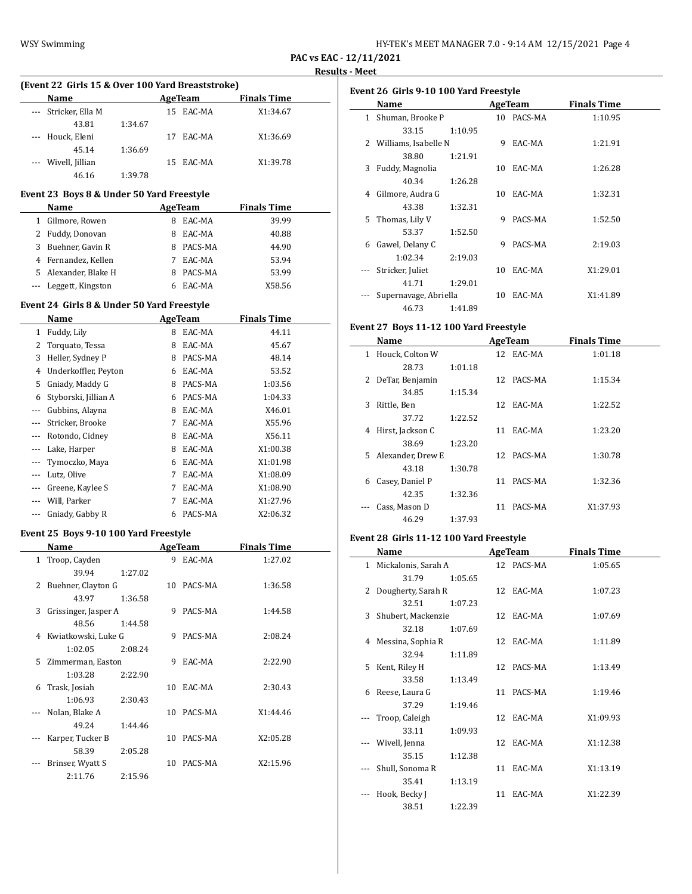| HY-TEK's MEET MANAGER 7.0 - 9:14 AM 12/15/2021 Page 4 |  |  |
|-------------------------------------------------------|--|--|
|-------------------------------------------------------|--|--|

# **PAC vs EAC - 12/11/2021**

### **Results - Meet**

| (Event 22 Girls 15 & Over 100 Yard Breaststroke) |                     |         |     |           |                    |  |  |  |
|--------------------------------------------------|---------------------|---------|-----|-----------|--------------------|--|--|--|
|                                                  | <b>Name</b>         |         |     | AgeTeam   | <b>Finals Time</b> |  |  |  |
|                                                  | Stricker, Ella M    |         |     | 15 EAC-MA | X1:34.67           |  |  |  |
|                                                  | 43.81               | 1:34.67 |     |           |                    |  |  |  |
|                                                  | --- Houck, Eleni    |         |     | EAC-MA    | X1:36.69           |  |  |  |
|                                                  | 45.14               | 1:36.69 |     |           |                    |  |  |  |
|                                                  | --- Wivell, Jillian |         | 15. | EAC-MA    | X1:39.78           |  |  |  |
|                                                  | 46.16               | 1:39.78 |     |           |                    |  |  |  |

# **Event 23 Boys 8 & Under 50 Yard Freestyle**

|   | <b>Name</b>           |   | AgeTeam | <b>Finals Time</b> |
|---|-----------------------|---|---------|--------------------|
| 1 | Gilmore, Rowen        | 8 | EAC-MA  | 39.99              |
|   | 2 Fuddy, Donovan      | 8 | EAC-MA  | 40.88              |
| 3 | Buehner, Gavin R      | 8 | PACS-MA | 44.90              |
|   | 4 Fernandez, Kellen   |   | EAC-MA  | 53.94              |
|   | 5 Alexander, Blake H  |   | PACS-MA | 53.99              |
|   | --- Leggett, Kingston |   | EAC-MA  | X58.56             |

# **Event 24 Girls 8 & Under 50 Yard Freestyle**

|     | Name                 |   | AgeTeam | <b>Finals Time</b> |
|-----|----------------------|---|---------|--------------------|
| 1   | Fuddy, Lily          | 8 | EAC-MA  | 44.11              |
| 2   | Torquato, Tessa      | 8 | EAC-MA  | 45.67              |
| 3   | Heller, Sydney P     | 8 | PACS-MA | 48.14              |
| 4   | Underkoffler, Peyton | 6 | EAC-MA  | 53.52              |
| 5   | Gniady, Maddy G      | 8 | PACS-MA | 1:03.56            |
| 6   | Styborski, Jillian A | 6 | PACS-MA | 1:04.33            |
| --- | Gubbins, Alayna      | 8 | EAC-MA  | X46.01             |
|     | Stricker, Brooke     | 7 | EAC-MA  | X55.96             |
|     | Rotondo, Cidney      | 8 | EAC-MA  | X56.11             |
|     | Lake, Harper         | 8 | EAC-MA  | X1:00.38           |
|     | Tymoczko, Maya       | 6 | EAC-MA  | X1:01.98           |
|     | Lutz, Olive          | 7 | EAC-MA  | X1:08.09           |
|     | Greene, Kaylee S     | 7 | EAC-MA  | X1:08.90           |
|     | Will, Parker         | 7 | EAC-MA  | X1:27.96           |
|     | Gniady, Gabby R      | 6 | PACS-MA | X2:06.32           |

# **Event 25 Boys 9-10 100 Yard Freestyle**

|              | Name                  |         |    | AgeTeam    | <b>Finals Time</b> |  |
|--------------|-----------------------|---------|----|------------|--------------------|--|
| $\mathbf{1}$ | Troop, Cayden         |         | 9  | EAC-MA     | 1:27.02            |  |
|              | 39.94                 | 1:27.02 |    |            |                    |  |
| 2            | Buehner, Clayton G    |         |    | 10 PACS-MA | 1:36.58            |  |
|              | 43.97                 | 1:36.58 |    |            |                    |  |
| 3            | Grissinger, Jasper A  |         | 9  | PACS-MA    | 1:44.58            |  |
|              | 48.56                 | 1:44.58 |    |            |                    |  |
|              | 4 Kwiatkowski, Luke G |         | 9  | PACS-MA    | 2:08.24            |  |
|              | 1:02.05               | 2:08.24 |    |            |                    |  |
|              | 5 Zimmerman, Easton   |         | 9  | EAC-MA     | 2:22.90            |  |
|              | 1:03.28               | 2:22.90 |    |            |                    |  |
| 6            | Trask, Josiah         |         | 10 | EAC-MA     | 2:30.43            |  |
|              | 1:06.93               | 2:30.43 |    |            |                    |  |
|              | Nolan, Blake A        |         | 10 | PACS-MA    | X1:44.46           |  |
|              | 49.24                 | 1:44.46 |    |            |                    |  |
|              | Karper, Tucker B      |         | 10 | PACS-MA    | X2:05.28           |  |
|              | 58.39                 | 2:05.28 |    |            |                    |  |
|              | Brinser, Wyatt S      |         | 10 | PACS-MA    | X2:15.96           |  |
|              | 2:11.76               | 2:15.96 |    |            |                    |  |

| Event 26 Girls 9-10 100 Yard Freestyle |                        |         |    |            |                    |  |  |
|----------------------------------------|------------------------|---------|----|------------|--------------------|--|--|
|                                        | Name                   |         |    | AgeTeam    | <b>Finals Time</b> |  |  |
| 1                                      | Shuman, Brooke P       |         |    | 10 PACS-MA | 1:10.95            |  |  |
|                                        | 33.15                  | 1:10.95 |    |            |                    |  |  |
|                                        | 2 Williams, Isabelle N |         | 9  | EAC-MA     | 1:21.91            |  |  |
|                                        | 38.80                  | 1:21.91 |    |            |                    |  |  |
|                                        | 3 Fuddy, Magnolia      |         |    | 10 EAC-MA  | 1:26.28            |  |  |
|                                        | 40.34                  | 1:26.28 |    |            |                    |  |  |
| 4                                      | Gilmore, Audra G       |         | 10 | EAC-MA     | 1:32.31            |  |  |
|                                        | 43.38                  | 1:32.31 |    |            |                    |  |  |
| 5                                      | Thomas, Lily V         |         | 9  | PACS-MA    | 1:52.50            |  |  |
|                                        | 53.37                  | 1:52.50 |    |            |                    |  |  |
| 6                                      | Gawel, Delany C        |         | 9  | PACS-MA    | 2:19.03            |  |  |
|                                        | 1:02.34                | 2:19.03 |    |            |                    |  |  |
|                                        | Stricker, Juliet       |         | 10 | EAC-MA     | X1:29.01           |  |  |
|                                        | 41.71                  | 1:29.01 |    |            |                    |  |  |
|                                        | Supernavage, Abriella  |         | 10 | EAC-MA     | X1:41.89           |  |  |
|                                        | 46.73                  | 1:41.89 |    |            |                    |  |  |

# **Event 27 Boys 11-12 100 Yard Freestyle**

|   | Name                |         |    | AgeTeam    | <b>Finals Time</b> |  |
|---|---------------------|---------|----|------------|--------------------|--|
| 1 | Houck, Colton W     |         |    | 12 EAC-MA  | 1:01.18            |  |
|   | 28.73               | 1:01.18 |    |            |                    |  |
|   | 2 DeTar, Benjamin   |         |    | 12 PACS-MA | 1:15.34            |  |
|   | 34.85               | 1:15.34 |    |            |                    |  |
| 3 | Rittle, Ben         |         |    | 12 EAC-MA  | 1:22.52            |  |
|   | 37.72               | 1:22.52 |    |            |                    |  |
| 4 | Hirst, Jackson C    |         | 11 | EAC-MA     | 1:23.20            |  |
|   | 38.69               | 1:23.20 |    |            |                    |  |
|   | 5 Alexander, Drew E |         |    | 12 PACS-MA | 1:30.78            |  |
|   | 43.18               | 1:30.78 |    |            |                    |  |
| 6 | Casey, Daniel P     |         | 11 | PACS-MA    | 1:32.36            |  |
|   | 42.35               | 1:32.36 |    |            |                    |  |
|   | Cass, Mason D       |         | 11 | PACS-MA    | X1:37.93           |  |
|   | 46.29               | 1:37.93 |    |            |                    |  |

# **Event 28 Girls 11-12 100 Yard Freestyle**

|    | Name                  |         | AgeTeam    | <b>Finals Time</b> |
|----|-----------------------|---------|------------|--------------------|
|    | 1 Mickalonis, Sarah A |         | 12 PACS-MA | 1:05.65            |
|    | 31.79                 | 1:05.65 |            |                    |
|    | 2 Dougherty, Sarah R  |         | 12 EAC-MA  | 1:07.23            |
|    | 32.51                 | 1:07.23 |            |                    |
|    | 3 Shubert, Mackenzie  |         | 12 EAC-MA  | 1:07.69            |
|    | 32.18                 | 1:07.69 |            |                    |
|    | 4 Messina, Sophia R   |         | 12 EAC-MA  | 1:11.89            |
|    | 32.94                 | 1:11.89 |            |                    |
| 5. | Kent, Riley H         |         | 12 PACS-MA | 1:13.49            |
|    | 33.58                 | 1:13.49 |            |                    |
|    | 6 Reese, Laura G      |         | 11 PACS-MA | 1:19.46            |
|    | 37.29                 | 1:19.46 |            |                    |
|    | Troop, Caleigh        |         | 12 EAC-MA  | X1:09.93           |
|    | 33.11                 | 1:09.93 |            |                    |
|    | Wivell, Jenna         |         | 12 EAC-MA  | X1:12.38           |
|    | 35.15                 | 1:12.38 |            |                    |
|    | Shull, Sonoma R       |         | 11 EAC-MA  | X1:13.19           |
|    | 35.41                 | 1:13.19 |            |                    |
|    | Hook, Becky J         |         | 11 EAC-MA  | X1:22.39           |
|    | 38.51                 | 1:22.39 |            |                    |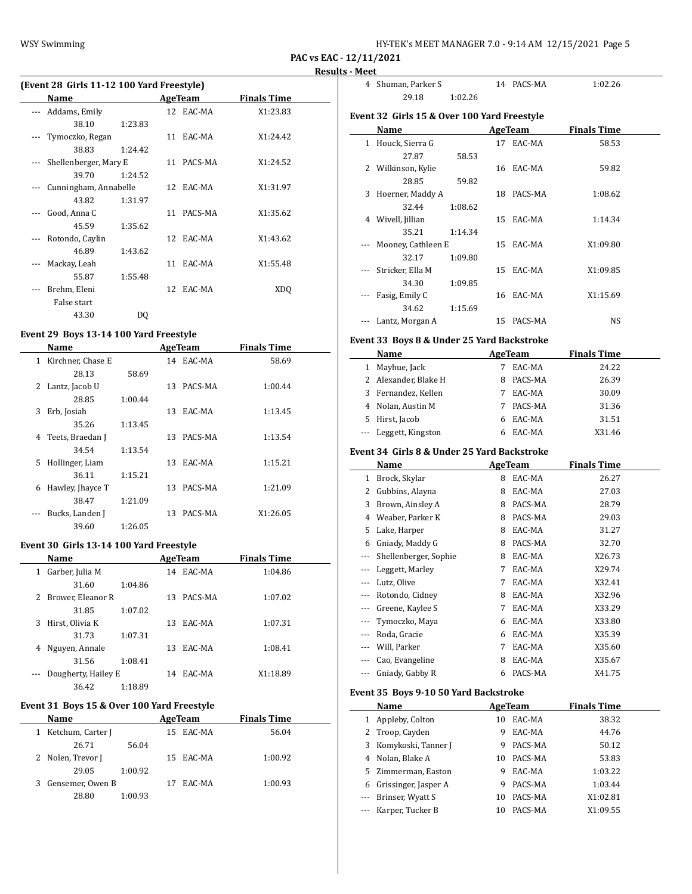| HY-TEK's MEET MANAGER 7.0 - 9:14 AM 12/15/2021 Page 5 |  |  |
|-------------------------------------------------------|--|--|
|-------------------------------------------------------|--|--|

**PAC vs EAC - 12/11/2021**

#### **Results - Meet**

| (Event 28 Girls 11-12 100 Yard Freestyle) |                       |         |    |            |                    |  |  |
|-------------------------------------------|-----------------------|---------|----|------------|--------------------|--|--|
|                                           | Name                  |         |    | AgeTeam    | <b>Finals Time</b> |  |  |
|                                           | Addams, Emily         |         |    | 12 EAC-MA  | X1:23.83           |  |  |
|                                           | 38.10                 | 1:23.83 |    |            |                    |  |  |
|                                           | Tymoczko, Regan       |         |    | 11 EAC-MA  | X1:24.42           |  |  |
|                                           | 38.83                 | 1:24.42 |    |            |                    |  |  |
|                                           | Shellenberger, Mary E |         |    | 11 PACS-MA | X1:24.52           |  |  |
|                                           | 39.70                 | 1:24.52 |    |            |                    |  |  |
|                                           | Cunningham, Annabelle |         |    | 12 EAC-MA  | X1:31.97           |  |  |
|                                           | 43.82                 | 1:31.97 |    |            |                    |  |  |
|                                           | Good, Anna C          |         | 11 | PACS-MA    | X1:35.62           |  |  |
|                                           | 45.59                 | 1:35.62 |    |            |                    |  |  |
|                                           | Rotondo, Caylin       |         |    | 12 EAC-MA  | X1:43.62           |  |  |
|                                           | 46.89                 | 1:43.62 |    |            |                    |  |  |
|                                           | Mackay, Leah          |         |    | 11 EAC-MA  | X1:55.48           |  |  |
|                                           | 55.87                 | 1:55.48 |    |            |                    |  |  |
|                                           | Brehm, Eleni          |         |    | 12 EAC-MA  | XDO                |  |  |
|                                           | False start           |         |    |            |                    |  |  |
|                                           | 43.30                 | DQ      |    |            |                    |  |  |

# **Event 29 Boys 13-14 100 Yard Freestyle**

|              | Name              |         |     | <b>AgeTeam</b> | <b>Finals Time</b> |  |
|--------------|-------------------|---------|-----|----------------|--------------------|--|
| $\mathbf{1}$ | Kirchner, Chase E |         | 14  | EAC-MA         | 58.69              |  |
|              | 28.13             | 58.69   |     |                |                    |  |
| 2            | Lantz, Jacob U    |         | 13  | PACS-MA        | 1:00.44            |  |
|              | 28.85             | 1:00.44 |     |                |                    |  |
| 3            | Erb, Josiah       |         | 13  | EAC-MA         | 1:13.45            |  |
|              | 35.26             | 1:13.45 |     |                |                    |  |
| 4            | Teets, Braedan J  |         | 13  | PACS-MA        | 1:13.54            |  |
|              | 34.54             | 1:13.54 |     |                |                    |  |
| 5.           | Hollinger, Liam   |         | 13  | EAC-MA         | 1:15.21            |  |
|              | 36.11             | 1:15.21 |     |                |                    |  |
| 6            | Hawley, Jhayce T  |         | 13. | PACS-MA        | 1:21.09            |  |
|              | 38.47             | 1:21.09 |     |                |                    |  |
|              | Bucks, Landen J   |         | 13  | PACS-MA        | X1:26.05           |  |
|              | 39.60             | 1:26.05 |     |                |                    |  |

#### **Event 30 Girls 13-14 100 Yard Freestyle**

|   | Name                |         |    | AgeTeam | <b>Finals Time</b> |
|---|---------------------|---------|----|---------|--------------------|
| 1 | Garber, Julia M     |         | 14 | EAC-MA  | 1:04.86            |
|   | 31.60               | 1:04.86 |    |         |                    |
| 2 | Brower, Eleanor R   |         | 13 | PACS-MA | 1:07.02            |
|   | 31.85               | 1:07.02 |    |         |                    |
| 3 | Hirst, Olivia K     |         | 13 | EAC-MA  | 1:07.31            |
|   | 31.73               | 1:07.31 |    |         |                    |
| 4 | Nguyen, Annale      |         | 13 | EAC-MA  | 1:08.41            |
|   | 31.56               | 1:08.41 |    |         |                    |
|   | Dougherty, Hailey E |         | 14 | EAC-MA  | X1:18.89           |
|   | 36.42               | 1:18.89 |    |         |                    |

# **Event 31 Boys 15 & Over 100 Yard Freestyle**

|    | <b>Name</b>       |         | AgeTeam   | <b>Finals Time</b> |
|----|-------------------|---------|-----------|--------------------|
| 1  | Ketchum, Carter J |         | 15 EAC-MA | 56.04              |
|    | 26.71             | 56.04   |           |                    |
|    | 2 Nolen, Trevor J |         | 15 EAC-MA | 1:00.92            |
|    | 29.05             | 1:00.92 |           |                    |
| 3. | Gensemer, Owen B  |         | EAC-MA    | 1:00.93            |
|    | 28.80             | 1:00.93 |           |                    |

| 4 | Shuman, Parker S                            |         |    | 14 PACS-MA | 1:02.26            |  |
|---|---------------------------------------------|---------|----|------------|--------------------|--|
|   | 29.18                                       | 1:02.26 |    |            |                    |  |
|   | Event 32 Girls 15 & Over 100 Yard Freestyle |         |    |            |                    |  |
|   | Name                                        |         |    | AgeTeam    | <b>Finals Time</b> |  |
|   | 1 Houck, Sierra G                           |         |    | 17 EAC-MA  | 58.53              |  |
|   | 27.87                                       | 58.53   |    |            |                    |  |
|   | 2 Wilkinson, Kylie                          |         |    | 16 EAC-MA  | 59.82              |  |
|   | 28.85                                       | 59.82   |    |            |                    |  |
| 3 | Hoerner, Maddy A                            |         | 18 | PACS-MA    | 1:08.62            |  |
|   | 32.44                                       | 1:08.62 |    |            |                    |  |
|   | 4 Wivell, Jillian                           |         |    | 15 EAC-MA  | 1:14.34            |  |
|   | 35.21                                       | 1:14.34 |    |            |                    |  |
|   | Mooney, Cathleen E                          |         |    | 15 EAC-MA  | X1:09.80           |  |
|   | 32.17                                       | 1:09.80 |    |            |                    |  |
|   | Stricker, Ella M                            |         | 15 | EAC-MA     | X1:09.85           |  |
|   | 34.30                                       | 1:09.85 |    |            |                    |  |
|   | Fasig, Emily C                              |         |    | 16 EAC-MA  | X1:15.69           |  |
|   | 34.62                                       | 1:15.69 |    |            |                    |  |
|   | Lantz, Morgan A                             |         | 15 | PACS-MA    | <b>NS</b>          |  |
|   |                                             |         |    |            |                    |  |

### **Event 33 Boys 8 & Under 25 Yard Backstroke**

| Name                  | AgeTeam |         | <b>Finals Time</b> |
|-----------------------|---------|---------|--------------------|
| 1 Mayhue, Jack        |         | EAC-MA  | 24.22              |
| 2 Alexander, Blake H  | 8       | PACS-MA | 26.39              |
| 3 Fernandez, Kellen   |         | EAC-MA  | 30.09              |
| 4 Nolan, Austin M     |         | PACS-MA | 31.36              |
| 5 Hirst, Jacob        |         | EAC-MA  | 31.51              |
| --- Leggett, Kingston |         | EAC-MA  | X31.46             |

### **Event 34 Girls 8 & Under 25 Yard Backstroke**

|          | Name                  |   | AgeTeam | <b>Finals Time</b> |
|----------|-----------------------|---|---------|--------------------|
| 1        | Brock, Skylar         | 8 | EAC-MA  | 26.27              |
| 2        | Gubbins, Alayna       | 8 | EAC-MA  | 27.03              |
| 3        | Brown, Ainsley A      | 8 | PACS-MA | 28.79              |
| 4        | Weaber, Parker K      | 8 | PACS-MA | 29.03              |
| 5        | Lake, Harper          | 8 | EAC-MA  | 31.27              |
| 6        | Gniady, Maddy G       | 8 | PACS-MA | 32.70              |
|          | Shellenberger, Sophie | 8 | EAC-MA  | X26.73             |
|          | Leggett, Marley       | 7 | EAC-MA  | X29.74             |
| $\cdots$ | Lutz, Olive           | 7 | EAC-MA  | X32.41             |
|          | Rotondo, Cidney       | 8 | EAC-MA  | X32.96             |
|          | Greene, Kaylee S      | 7 | EAC-MA  | X33.29             |
|          | Tymoczko, Maya        | 6 | EAC-MA  | X33.80             |
|          | Roda, Gracie          | 6 | EAC-MA  | X35.39             |
|          | Will, Parker          | 7 | EAC-MA  | X35.60             |
|          | Cao, Evangeline       | 8 | EAC-MA  | X35.67             |
|          | Gniady, Gabby R       | 6 | PACS-MA | X41.75             |

# **Event 35 Boys 9-10 50 Yard Backstroke**

|    | Name                  | AgeTeam |         | <b>Finals Time</b> |  |
|----|-----------------------|---------|---------|--------------------|--|
|    | 1 Appleby, Colton     | 10      | EAC-MA  | 38.32              |  |
|    | 2 Troop, Cayden       | 9       | EAC-MA  | 44.76              |  |
|    | 3 Komykoski, Tanner J | 9       | PACS-MA | 50.12              |  |
|    | 4 Nolan, Blake A      | 10      | PACS-MA | 53.83              |  |
|    | 5 Zimmerman, Easton   | 9       | EAC-MA  | 1:03.22            |  |
| 6. | Grissinger, Jasper A  | 9       | PACS-MA | 1:03.44            |  |
|    | --- Brinser, Wyatt S  | 10      | PACS-MA | X1:02.81           |  |
|    | --- Karper, Tucker B  | 10      | PACS-MA | X1:09.55           |  |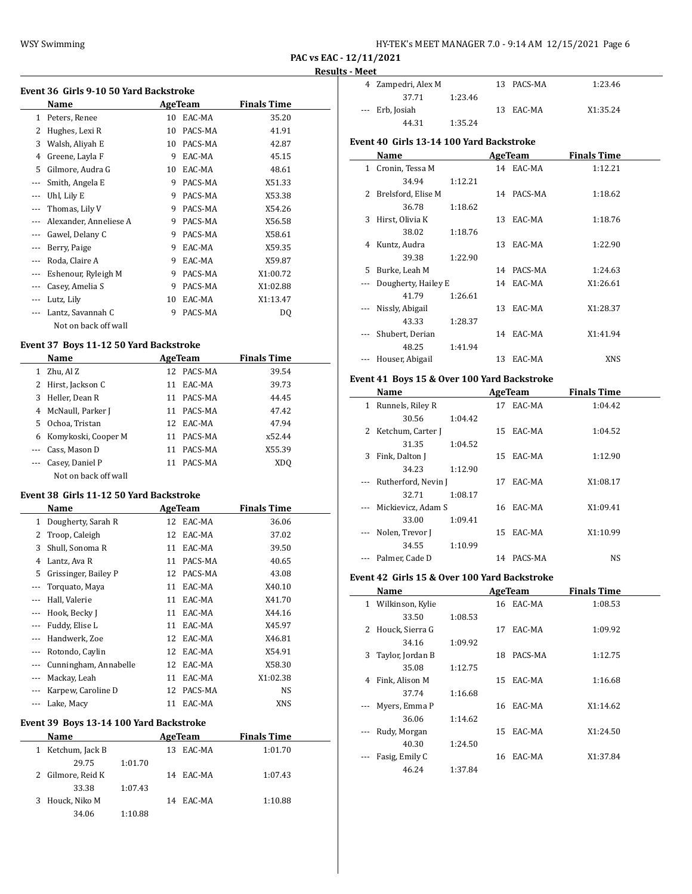| HY-TEK's MEET MANAGER 7.0 - 9:14 AM 12/15/2021 Page 6 |  |  |  |
|-------------------------------------------------------|--|--|--|
|-------------------------------------------------------|--|--|--|

|              | Name                   |    | AgeTeam | <b>Finals Time</b> |
|--------------|------------------------|----|---------|--------------------|
| $\mathbf{1}$ | Peters, Renee          | 10 | EAC-MA  | 35.20              |
| 2            | Hughes, Lexi R         | 10 | PACS-MA | 41.91              |
| 3            | Walsh, Aliyah E        | 10 | PACS-MA | 42.87              |
| 4            | Greene, Layla F        | 9  | EAC-MA  | 45.15              |
| 5            | Gilmore, Audra G       | 10 | EAC-MA  | 48.61              |
| $---$        | Smith, Angela E        | 9  | PACS-MA | X51.33             |
| $---$        | Uhl, Lily E            | 9  | PACS-MA | X53.38             |
|              | Thomas, Lily V         | 9  | PACS-MA | X54.26             |
| $---$        | Alexander, Anneliese A | 9  | PACS-MA | X56.58             |
| $---$        | Gawel, Delany C        | 9  | PACS-MA | X58.61             |
| $---$        | Berry, Paige           | 9  | EAC-MA  | X59.35             |
| $---$        | Roda, Claire A         | 9  | EAC-MA  | X59.87             |
| $---$        | Eshenour, Ryleigh M    | 9  | PACS-MA | X1:00.72           |
| $---$        | Casey, Amelia S        | 9  | PACS-MA | X1:02.88           |
| $---$        | Lutz, Lily             | 10 | EAC-MA  | X1:13.47           |
|              | Lantz, Savannah C      | 9  | PACS-MA | DQ                 |
|              | Not on back off wall   |    |         |                    |

# **Event 37 Boys 11-12 50 Yard Backstroke**

|    | Name                 | AgeTeam       | <b>Finals Time</b> |
|----|----------------------|---------------|--------------------|
| 1  | Zhu, Al Z            | PACS-MA<br>12 | 39.54              |
|    | 2 Hirst, Jackson C   | EAC-MA<br>11  | 39.73              |
| 3  | Heller, Dean R       | PACS-MA<br>11 | 44.45              |
| 4  | McNaull, Parker J    | PACS-MA<br>11 | 47.42              |
| 5. | Ochoa, Tristan       | 12 EAC-MA     | 47.94              |
| 6  | Komykoski, Cooper M  | PACS-MA<br>11 | x52.44             |
|    | Cass, Mason D        | PACS-MA<br>11 | X55.39             |
|    | Casey, Daniel P      | PACS-MA<br>11 | XD <sub>0</sub>    |
|    | Not on back off wall |               |                    |

### **Event 38 Girls 11-12 50 Yard Backstroke**

|         | Name                  |    | <b>AgeTeam</b> | <b>Finals Time</b> |  |
|---------|-----------------------|----|----------------|--------------------|--|
| 1       | Dougherty, Sarah R    | 12 | EAC-MA         | 36.06              |  |
| 2       | Troop, Caleigh        | 12 | EAC-MA         | 37.02              |  |
| 3       | Shull, Sonoma R       | 11 | EAC-MA         | 39.50              |  |
| 4       | Lantz, Ava R          | 11 | PACS-MA        | 40.65              |  |
| 5.      | Grissinger, Bailey P  | 12 | PACS-MA        | 43.08              |  |
|         | Torquato, Maya        | 11 | EAC-MA         | X40.10             |  |
|         | Hall, Valerie         | 11 | EAC-MA         | X41.70             |  |
|         | Hook, Becky J         | 11 | EAC-MA         | X44.16             |  |
|         | Fuddy, Elise L        | 11 | EAC-MA         | X45.97             |  |
| $- - -$ | Handwerk, Zoe         | 12 | EAC-MA         | X46.81             |  |
|         | Rotondo, Caylin       | 12 | EAC-MA         | X54.91             |  |
|         | Cunningham, Annabelle | 12 | EAC-MA         | X58.30             |  |
|         | Mackay, Leah          | 11 | EAC-MA         | X1:02.38           |  |
|         | Karpew, Caroline D    | 12 | PACS-MA        | NS                 |  |
| $---$   | Lake, Macy            | 11 | EAC-MA         | XNS                |  |

# **Event 39 Boys 13-14 100 Yard Backstroke**

| Name                            | AgeTeam       | <b>Finals Time</b> |
|---------------------------------|---------------|--------------------|
| Ketchum, Jack B<br>$\mathbf{1}$ | EAC-MA<br>13. | 1:01.70            |
| 29.75                           | 1:01.70       |                    |
| 2 Gilmore, Reid K               | EAC-MA<br>14  | 1:07.43            |
| 33.38                           | 1:07.43       |                    |
| 3 Houck, Niko M                 | 14 EAC-MA     | 1:10.88            |
| 34.06                           | 1:10.88       |                    |

| 4 Zampedri, Alex M |         | 13 PACS-MA | 1:23.46  |
|--------------------|---------|------------|----------|
| 37.71              | 1:23.46 |            |          |
| --- Erb, Josiah    |         | 13 EAC-MA  | X1:35.24 |
| 44.31              | 1:35.24 |            |          |

## **Event 40 Girls 13-14 100 Yard Backstroke**

|    | Name                |         |    | AgeTeam    | <b>Finals Time</b> |  |
|----|---------------------|---------|----|------------|--------------------|--|
| 1  | Cronin, Tessa M     |         |    | 14 EAC-MA  | 1:12.21            |  |
|    | 34.94               | 1:12.21 |    |            |                    |  |
| 2  | Brelsford, Elise M  |         |    | 14 PACS-MA | 1:18.62            |  |
|    | 36.78               | 1:18.62 |    |            |                    |  |
| 3  | Hirst, Olivia K     |         | 13 | EAC-MA     | 1:18.76            |  |
|    | 38.02               | 1:18.76 |    |            |                    |  |
| 4  | Kuntz, Audra        |         | 13 | EAC-MA     | 1:22.90            |  |
|    | 39.38               | 1:22.90 |    |            |                    |  |
| 5. | Burke, Leah M       |         |    | 14 PACS-MA | 1:24.63            |  |
|    | Dougherty, Hailey E |         |    | 14 EAC-MA  | X1:26.61           |  |
|    | 41.79               | 1:26.61 |    |            |                    |  |
|    | Nissly, Abigail     |         | 13 | EAC-MA     | X1:28.37           |  |
|    | 43.33               | 1:28.37 |    |            |                    |  |
|    | Shubert, Derian     |         |    | 14 EAC-MA  | X1:41.94           |  |
|    | 48.25               | 1:41.94 |    |            |                    |  |
|    | Houser, Abigail     |         | 13 | EAC-MA     | XNS                |  |

# **Event 41 Boys 15 & Over 100 Yard Backstroke**

|   | Name                |         |     | AgeTeam   | <b>Finals Time</b> |  |
|---|---------------------|---------|-----|-----------|--------------------|--|
| 1 | Runnels, Riley R    |         | 17  | EAC-MA    | 1:04.42            |  |
|   | 30.56               | 1:04.42 |     |           |                    |  |
|   | 2 Ketchum, Carter J |         | 15. | EAC-MA    | 1:04.52            |  |
|   | 31.35               | 1:04.52 |     |           |                    |  |
| 3 | Fink, Dalton J      |         | 15  | EAC-MA    | 1:12.90            |  |
|   | 34.23               | 1:12.90 |     |           |                    |  |
|   | Rutherford, Nevin J |         | 17  | EAC-MA    | X1:08.17           |  |
|   | 32.71               | 1:08.17 |     |           |                    |  |
|   | Mickievicz, Adam S  |         |     | 16 EAC-MA | X1:09.41           |  |
|   | 33.00               | 1:09.41 |     |           |                    |  |
|   | Nolen, Trevor J     |         |     | 15 EAC-MA | X1:10.99           |  |
|   | 34.55               | 1:10.99 |     |           |                    |  |
|   | Palmer, Cade D      |         | 14  | PACS-MA   | NS                 |  |

# **Event 42 Girls 15 & Over 100 Yard Backstroke**

|              | Name             |         |    | AgeTeam   | <b>Finals Time</b> |  |
|--------------|------------------|---------|----|-----------|--------------------|--|
| $\mathbf{1}$ | Wilkinson, Kylie |         |    | 16 EAC-MA | 1:08.53            |  |
|              | 33.50            | 1:08.53 |    |           |                    |  |
| 2            | Houck, Sierra G  |         | 17 | EAC-MA    | 1:09.92            |  |
|              | 34.16            | 1:09.92 |    |           |                    |  |
| 3            | Taylor, Jordan B |         | 18 | PACS-MA   | 1:12.75            |  |
|              | 35.08            | 1:12.75 |    |           |                    |  |
| 4            | Fink, Alison M   |         | 15 | EAC-MA    | 1:16.68            |  |
|              | 37.74            | 1:16.68 |    |           |                    |  |
| $\cdots$     | Myers, Emma P    |         | 16 | EAC-MA    | X1:14.62           |  |
|              | 36.06            | 1:14.62 |    |           |                    |  |
| $---$        | Rudy, Morgan     |         | 15 | EAC-MA    | X1:24.50           |  |
|              | 40.30            | 1:24.50 |    |           |                    |  |
|              | Fasig, Emily C   |         | 16 | EAC-MA    | X1:37.84           |  |
|              | 46.24            | 1:37.84 |    |           |                    |  |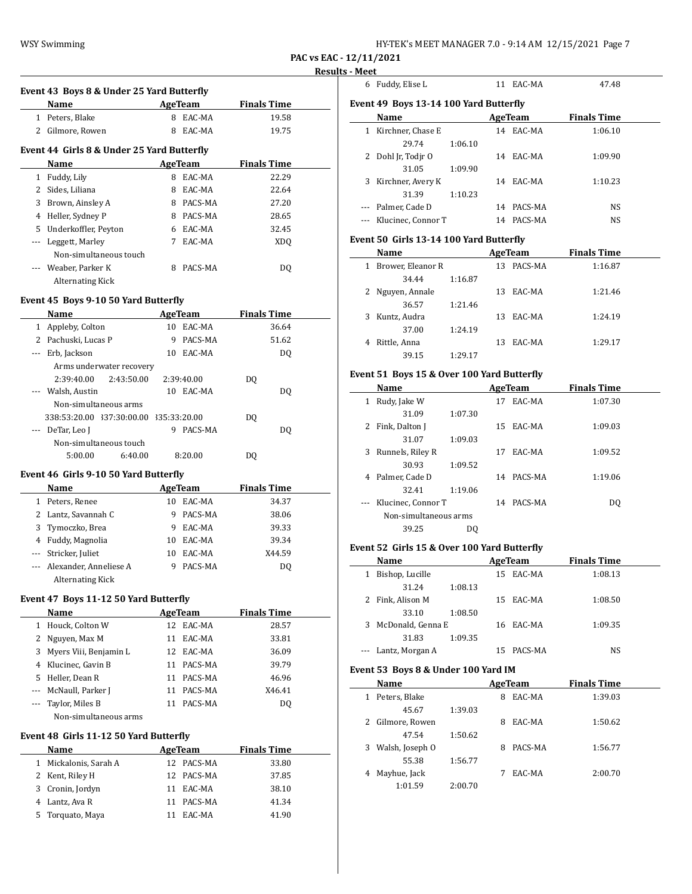| HY-TEK's MEET MANAGER 7.0 - 9:14 AM 12/15/2021 Page 7 |  |  |
|-------------------------------------------------------|--|--|
|-------------------------------------------------------|--|--|

|     |                                                   |         |                |                    | Resu |
|-----|---------------------------------------------------|---------|----------------|--------------------|------|
|     | Event 43 Boys 8 & Under 25 Yard Butterfly         |         |                |                    |      |
|     | Name                                              |         | <b>AgeTeam</b> | <b>Finals Time</b> |      |
|     | 1 Peters, Blake                                   | 8       | EAC-MA         | 19.58              |      |
|     | 2 Gilmore, Rowen                                  | 8       | EAC-MA         | 19.75              |      |
|     |                                                   |         |                |                    |      |
|     | Event 44 Girls 8 & Under 25 Yard Butterfly        |         |                |                    |      |
|     | Name                                              |         | AgeTeam        | <b>Finals Time</b> |      |
|     | 1 Fuddy, Lily                                     |         | 8 EAC-MA       | 22.29              |      |
|     | 2 Sides, Liliana                                  |         | 8 EAC-MA       | 22.64              |      |
|     | 3 Brown, Ainsley A                                |         | 8 PACS-MA      | 27.20              |      |
|     | 4 Heller, Sydney P                                |         | 8 PACS-MA      | 28.65              |      |
|     | 5 Underkoffler, Peyton                            |         | 6 EAC-MA       | 32.45              |      |
|     | --- Leggett, Marley                               |         | 7 EAC-MA       | <b>XDQ</b>         |      |
|     | Non-simultaneous touch                            |         |                |                    |      |
|     | Weaber, Parker K                                  |         | 8 PACS-MA      | DQ                 |      |
|     | Alternating Kick                                  |         |                |                    |      |
|     | Event 45 Boys 9-10 50 Yard Butterfly              |         |                |                    |      |
|     | Name                                              | AgeTeam |                | <b>Finals Time</b> |      |
|     | 1 Appleby, Colton                                 |         | 10 EAC-MA      | 36.64              |      |
|     | 2 Pachuski, Lucas P                               | 9       | PACS-MA        | 51.62              |      |
|     | --- Erb, Jackson                                  |         | 10 EAC-MA      | DQ                 |      |
|     | Arms underwater recovery                          |         |                |                    |      |
|     | 2:39:40.00<br>2:43:50.00                          |         | 2:39:40.00     | DQ                 |      |
|     | Walsh, Austin                                     |         | 10 EAC-MA      | DQ                 |      |
|     | Non-simultaneous arms                             |         |                |                    |      |
|     | 338:53:20.00 337:30:00.00 335:33:20.00            |         |                | DQ                 |      |
|     | --- DeTar, Leo J                                  | 9.      | PACS-MA        | DQ                 |      |
|     | Non-simultaneous touch                            |         |                |                    |      |
|     | 5:00.00<br>6:40.00                                |         | 8:20.00        | DQ                 |      |
|     |                                                   |         |                |                    |      |
|     | Event 46 Girls 9-10 50 Yard Butterfly<br>Name     |         | AgeTeam        | <b>Finals Time</b> |      |
|     | 1 Peters, Renee                                   |         | 10 EAC-MA      | 34.37              |      |
|     | 2 Lantz, Savannah C                               |         | 9 PACS-MA      | 38.06              |      |
| 3   | Tymoczko, Brea                                    |         | 9 EAC-MA       | 39.33              |      |
|     | 4 Fuddy, Magnolia                                 |         | 10 EAC-MA      | 39.34              |      |
|     | --- Stricker, Juliet                              |         | 10 EAC-MA      | X44.59             |      |
|     |                                                   | 9       |                | D <sub>0</sub>     |      |
| --- | Alexander, Anneliese A<br><b>Alternating Kick</b> |         | PACS-MA        |                    |      |
|     |                                                   |         |                |                    |      |
|     | Event 47 Boys 11-12 50 Yard Butterfly             |         |                |                    |      |
|     | Name                                              |         | <b>AgeTeam</b> | <b>Finals Time</b> |      |
|     | 1 Houck, Colton W                                 |         | 12 EAC-MA      | 28.57              |      |
|     | 2 Nguyen, Max M                                   |         | 11 EAC-MA      | 33.81              |      |
|     | 3 Myers Viii, Benjamin L                          |         | 12 EAC-MA      | 36.09              |      |
|     | 4 Klucinec, Gavin B                               |         | 11 PACS-MA     | 39.79              |      |
|     | 5 Heller, Dean R                                  |         | 11 PACS-MA     | 46.96              |      |
|     | --- McNaull, Parker J                             |         | 11 PACS-MA     | X46.41             |      |
|     | --- Taylor, Miles B                               |         | 11 PACS-MA     | DQ                 |      |
|     | Non-simultaneous arms                             |         |                |                    |      |
|     |                                                   |         |                |                    |      |
|     | Event 48 Girls 11-12 50 Yard Butterfly            |         |                |                    |      |
|     | Name                                              |         | AgeTeam        | <b>Finals Time</b> |      |
|     | 1 Mickalonis, Sarah A                             |         | 12 PACS-MA     | 33.80              |      |
|     | 2 Kent, Riley H                                   |         | 12 PACS-MA     | 37.85              |      |
| 3   | Cronin, Jordyn                                    |         | 11 EAC-MA      | 38.10              |      |
|     | 4 Lantz, Ava R                                    |         | 11 PACS-MA     | 41.34              |      |
| 5   | Torquato, Maya                                    | 11      | EAC-MA         | 41.90              |      |
|     |                                                   |         |                |                    |      |

| - меет |                                            |         |                |                    |  |
|--------|--------------------------------------------|---------|----------------|--------------------|--|
|        | 6 Fuddy, Elise L                           |         | 11 EAC-MA      | 47.48              |  |
|        | Event 49 Boys 13-14 100 Yard Butterfly     |         |                |                    |  |
|        | Name                                       |         | <b>AgeTeam</b> | <b>Finals Time</b> |  |
|        | 1 Kirchner, Chase E                        |         | 14 EAC-MA      | 1:06.10            |  |
|        | 29.74                                      | 1:06.10 |                |                    |  |
|        | 2 Dohl Jr, Todjr O                         |         | 14 EAC-MA      | 1:09.90            |  |
|        | 31.05                                      | 1:09.90 |                |                    |  |
|        | 3 Kirchner, Avery K                        |         | 14 EAC-MA      | 1:10.23            |  |
|        | 31.39                                      | 1:10.23 |                |                    |  |
|        | --- Palmer, Cade D                         |         | 14 PACS-MA     | <b>NS</b>          |  |
|        | --- Klucinec, Connor T                     |         | 14 PACS-MA     | <b>NS</b>          |  |
|        | Event 50 Girls 13-14 100 Yard Butterfly    |         |                |                    |  |
|        | Name                                       |         | AgeTeam        | <b>Finals Time</b> |  |
|        | 1 Brower, Eleanor R                        |         | 13 PACS-MA     | 1:16.87            |  |
|        | 34.44                                      | 1:16.87 |                |                    |  |
|        | 2 Nguyen, Annale                           |         | 13 EAC-MA      | 1:21.46            |  |
|        | 36.57                                      | 1:21.46 |                |                    |  |
|        | 3 Kuntz, Audra                             |         | 13 EAC-MA      | 1:24.19            |  |
|        | 37.00                                      | 1:24.19 |                |                    |  |
|        | 4 Rittle, Anna                             |         | 13 EAC-MA      | 1:29.17            |  |
|        | 39.15                                      | 1:29.17 |                |                    |  |
|        | Event 51 Boys 15 & Over 100 Yard Butterfly |         |                |                    |  |
|        | Name                                       |         | AgeTeam        | <b>Finals Time</b> |  |
|        | 1 Rudy, Jake W                             |         | 17 EAC-MA      | 1:07.30            |  |
|        | 31.09                                      | 1:07.30 |                |                    |  |
|        | 2 Fink, Dalton J                           |         | 15 EAC-MA      | 1:09.03            |  |
|        | 31.07                                      | 1:09.03 |                |                    |  |
|        | 3 Runnels, Riley R                         |         | 17 EAC-MA      | 1:09.52            |  |
|        | 30.93                                      | 1:09.52 |                |                    |  |
|        | 4 Palmer, Cade D                           |         | 14 PACS-MA     | 1:19.06            |  |
|        |                                            |         |                |                    |  |

# 32.41 1:19.06 --- Klucinec, Connor T 14 PACS-MA DQ Non-simultaneous arms 39.25 DQ

# **Event 52 Girls 15 & Over 100 Yard Butterfly**

|   | Name                |         |    | AgeTeam   | <b>Finals Time</b> |  |
|---|---------------------|---------|----|-----------|--------------------|--|
| 1 | Bishop, Lucille     |         |    | 15 EAC-MA | 1:08.13            |  |
|   | 31.24               | 1:08.13 |    |           |                    |  |
|   | 2 Fink, Alison M    |         |    | 15 EAC-MA | 1:08.50            |  |
|   | 33.10               | 1:08.50 |    |           |                    |  |
|   | 3 McDonald, Genna E |         |    | 16 EAC-MA | 1:09.35            |  |
|   | 31.83               | 1:09.35 |    |           |                    |  |
|   | --- Lantz, Morgan A |         | 15 | PACS-MA   | NS                 |  |

# **Event 53 Boys 8 & Under 100 Yard IM**

|              | Name             |         |   | AgeTeam | <b>Finals Time</b> |  |
|--------------|------------------|---------|---|---------|--------------------|--|
| $\mathbf{1}$ | Peters, Blake    |         | 8 | EAC-MA  | 1:39.03            |  |
|              | 45.67            | 1:39.03 |   |         |                    |  |
|              | 2 Gilmore, Rowen |         | 8 | EAC-MA  | 1:50.62            |  |
|              | 47.54            | 1:50.62 |   |         |                    |  |
| 3            | Walsh, Joseph O  |         | 8 | PACS-MA | 1:56.77            |  |
|              | 55.38            | 1:56.77 |   |         |                    |  |
| 4            | Mayhue, Jack     |         |   | EAC-MA  | 2:00.70            |  |
|              | 1:01.59          | 2:00.70 |   |         |                    |  |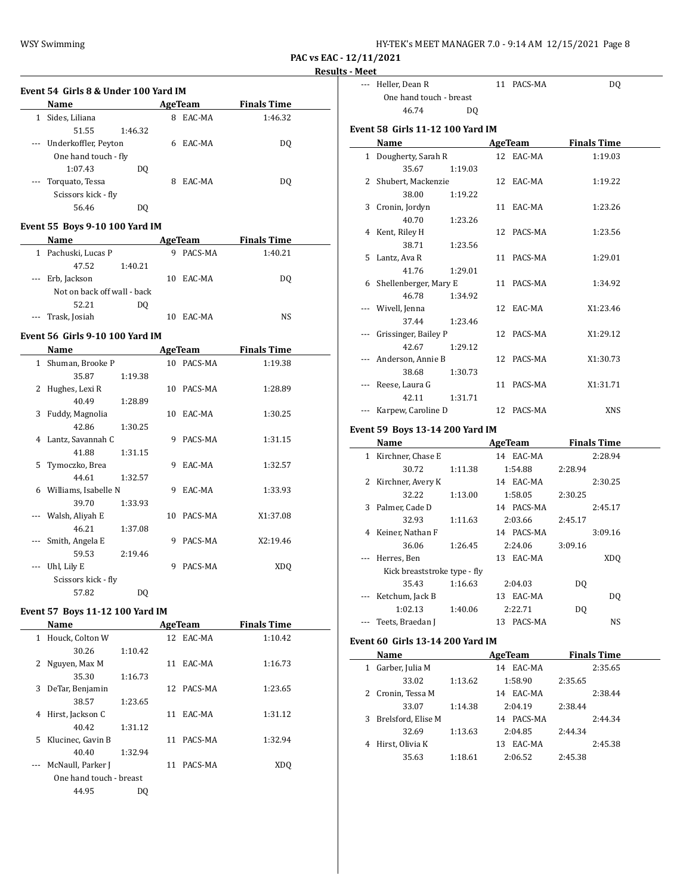WSY Swimming WSY Swimming HY-TEK's MEET MANAGER 7.0 - 9:14 AM 12/15/2021 Page 8

**PAC vs EAC - 12/11/2021**

# **Results - Meet**

#### **Event 54 Girls 8 & Under 100 Yard IM**

| Name                                   |         |   | AgeTeam | <b>Finals Time</b> |  |
|----------------------------------------|---------|---|---------|--------------------|--|
| Sides, Liliana<br>1                    |         | 8 | EAC-MA  | 1:46.32            |  |
| 51.55                                  | 1:46.32 |   |         |                    |  |
| --- Underkoffler, Peyton               |         | 6 | EAC-MA  | DO.                |  |
| One hand touch - fly                   |         |   |         |                    |  |
| 1:07.43                                | DO.     |   |         |                    |  |
| Torquato, Tessa<br>$\qquad \qquad - -$ |         | 8 | EAC-MA  | DO                 |  |
| Scissors kick - fly                    |         |   |         |                    |  |
| 56.46                                  | DO.     |   |         |                    |  |

# **Event 55 Boys 9-10 100 Yard IM**

|          | <b>Name</b>                 |    | AgeTeam | <b>Finals Time</b> |  |
|----------|-----------------------------|----|---------|--------------------|--|
|          | 1 Pachuski, Lucas P         | 9  | PACS-MA | 1:40.21            |  |
|          | 47.52<br>1:40.21            |    |         |                    |  |
| $\cdots$ | Erb, Jackson                | 10 | EAC-MA  | DO.                |  |
|          | Not on back off wall - back |    |         |                    |  |
|          | 52.21<br>DO                 |    |         |                    |  |
|          | --- Trask, Josiah           |    | EAC-MA  | NS                 |  |

# **Event 56 Girls 9-10 100 Yard IM**

|   | Name                   |         |    | <b>AgeTeam</b> | <b>Finals Time</b> |  |
|---|------------------------|---------|----|----------------|--------------------|--|
|   | 1 Shuman, Brooke P     |         |    | 10 PACS-MA     | 1:19.38            |  |
|   | 35.87                  | 1:19.38 |    |                |                    |  |
| 2 | Hughes, Lexi R         |         |    | 10 PACS-MA     | 1:28.89            |  |
|   | 40.49                  | 1:28.89 |    |                |                    |  |
|   | 3 Fuddy, Magnolia      |         |    | 10 EAC-MA      | 1:30.25            |  |
|   | 42.86                  | 1:30.25 |    |                |                    |  |
|   | 4 Lantz, Savannah C    |         | 9  | PACS-MA        | 1:31.15            |  |
|   | 41.88                  | 1:31.15 |    |                |                    |  |
|   | 5 Tymoczko, Brea       |         | 9  | EAC-MA         | 1:32.57            |  |
|   | 44.61                  | 1:32.57 |    |                |                    |  |
|   | 6 Williams, Isabelle N |         | 9  | EAC-MA         | 1:33.93            |  |
|   | 39.70                  | 1:33.93 |    |                |                    |  |
|   | Walsh, Aliyah E        |         | 10 | PACS-MA        | X1:37.08           |  |
|   | 46.21                  | 1:37.08 |    |                |                    |  |
|   | Smith, Angela E        |         | 9  | PACS-MA        | X2:19.46           |  |
|   | 59.53                  | 2:19.46 |    |                |                    |  |
|   | Uhl, Lily E            |         | 9  | PACS-MA        | XDQ                |  |
|   | Scissors kick - fly    |         |    |                |                    |  |
|   | 57.82                  | DQ      |    |                |                    |  |

# **Event 57 Boys 11-12 100 Yard IM**

|   | Name                    |         |    | AgeTeam    | <b>Finals Time</b> |  |
|---|-------------------------|---------|----|------------|--------------------|--|
| 1 | Houck, Colton W         |         |    | 12 EAC-MA  | 1:10.42            |  |
|   | 30.26                   | 1:10.42 |    |            |                    |  |
|   | 2 Nguyen, Max M         |         |    | 11 EAC-MA  | 1:16.73            |  |
|   | 35.30                   | 1:16.73 |    |            |                    |  |
| 3 | DeTar, Benjamin         |         |    | 12 PACS-MA | 1:23.65            |  |
|   | 38.57                   | 1:23.65 |    |            |                    |  |
| 4 | Hirst, Jackson C        |         | 11 | EAC-MA     | 1:31.12            |  |
|   | 40.42                   | 1:31.12 |    |            |                    |  |
|   | 5 Klucinec, Gavin B     |         | 11 | PACS-MA    | 1:32.94            |  |
|   | 40.40                   | 1:32.94 |    |            |                    |  |
|   | McNaull, Parker J       |         |    | 11 PACS-MA | XD <sub>0</sub>    |  |
|   | One hand touch - breast |         |    |            |                    |  |
|   | 44.95                   | DO      |    |            |                    |  |
|   |                         |         |    |            |                    |  |

| - меет |                                         |                |                          |                    |  |
|--------|-----------------------------------------|----------------|--------------------------|--------------------|--|
|        | --- Heller, Dean R                      |                | 11 PACS-MA               | D <sub>0</sub>     |  |
|        | One hand touch - breast                 |                |                          |                    |  |
|        | 46.74                                   | D <sub>0</sub> |                          |                    |  |
|        | <b>Event 58 Girls 11-12 100 Yard IM</b> |                |                          |                    |  |
|        |                                         |                |                          |                    |  |
|        | Name                                    |                | <b>AgeTeam</b>           | <b>Finals Time</b> |  |
|        | 1 Dougherty, Sarah R                    |                | 12 EAC-MA                | 1:19.03            |  |
|        | 35.67                                   | 1:19.03        |                          |                    |  |
|        | 2 Shubert, Mackenzie                    |                | 12 EAC-MA                | 1:19.22            |  |
|        | 38.00                                   | 1:19.22        |                          |                    |  |
|        | 3 Cronin, Jordyn                        |                | 11 EAC-MA                | 1:23.26            |  |
|        | 40.70                                   | 1:23.26        |                          |                    |  |
|        | 4 Kent, Riley H                         |                | 12 PACS-MA               | 1:23.56            |  |
|        | 38.71                                   | 1:23.56        |                          |                    |  |
|        | 5 Lantz, Ava R                          |                | 11 PACS-MA               | 1:29.01            |  |
|        | 41.76                                   | 1:29.01        |                          |                    |  |
|        | 6 Shellenberger, Mary E                 |                | 11 PACS-MA               | 1:34.92            |  |
|        | 46.78                                   | 1:34.92        |                          |                    |  |
|        | Wivell, Jenna                           |                | 12 EAC-MA                | X1:23.46           |  |
|        | 37.44                                   | 1:23.46        |                          |                    |  |
|        | --- Grissinger, Bailey P                |                | 12 PACS-MA               | X1:29.12           |  |
|        | 42.67                                   | 1:29.12        |                          |                    |  |
|        | --- Anderson, Annie B                   |                | 12 PACS-MA               | X1:30.73           |  |
|        | 38.68                                   | 1:30.73        |                          |                    |  |
|        | --- Reese, Laura G                      |                | 11 PACS-MA               | X1:31.71           |  |
|        | 42.11                                   | 1:31.71        |                          |                    |  |
|        | Karpew, Caroline D                      |                | 12 PACS-MA               | <b>XNS</b>         |  |
|        | <b>Event 59 Boys 13-14 200 Yard IM</b>  |                |                          |                    |  |
|        | Name                                    |                | <b>Example 2</b> AgeTeam | <b>Finals Time</b> |  |
|        | 1 Kirchner, Chase E                     |                | 14 EAC-MA                | 2:28.94            |  |
|        | 30.72                                   | 1:11.38        | 1:54.88                  | 2:28.94            |  |
| 2      | Kirchner, Avery K                       |                | 14 EAC-MA                | 2:30.25            |  |
|        | 32.22                                   | 1:13.00        | 1:58.05                  | 2:30.25            |  |
|        |                                         |                |                          |                    |  |

|          | 32.22                        | 1:13.00 | 1:58.05       | 2:30.25 |                 |
|----------|------------------------------|---------|---------------|---------|-----------------|
| 3        | Palmer, Cade D               |         | 14 PACS-MA    |         | 2:45.17         |
|          | 32.93                        | 1:11.63 | 2:03.66       | 2:45.17 |                 |
| 4        | Keiner, Nathan F             |         | 14 PACS-MA    |         | 3:09.16         |
|          | 36.06                        | 1:26.45 | 2:24.06       | 3:09.16 |                 |
|          | Herres, Ben                  |         | EAC-MA<br>13  |         | XD <sub>0</sub> |
|          | Kick breaststroke type - fly |         |               |         |                 |
|          | 35.43                        | 1:16.63 | 2:04.03       | DO.     |                 |
|          | Ketchum, Jack B              |         | EAC-MA<br>13  |         | DO.             |
|          | 1:02.13                      | 1:40.06 | 2:22.71       | DO.     |                 |
| $\cdots$ | Teets, Braedan J             |         | PACS-MA<br>13 |         | NS              |

# **Event 60 Girls 13-14 200 Yard IM**

| Name                    |         | AgeTeam       | <b>Finals Time</b> |
|-------------------------|---------|---------------|--------------------|
| Garber, Julia M<br>1    |         | EAC-MA<br>14  | 2:35.65            |
| 33.02                   | 1:13.62 | 1:58.90       | 2:35.65            |
| 2 Cronin, Tessa M       |         | EAC-MA<br>14  | 2:38.44            |
| 33.07                   | 1:14.38 | 2:04.19       | 2:38.44            |
| Brelsford, Elise M<br>3 |         | PACS-MA<br>14 | 2:44.34            |
| 32.69                   | 1:13.63 | 2:04.85       | 2:44.34            |
| Hirst. Olivia K<br>4    |         | EAC-MA<br>13  | 2:45.38            |
| 35.63                   | 1:18.61 | 2:06.52       | 2:45.38            |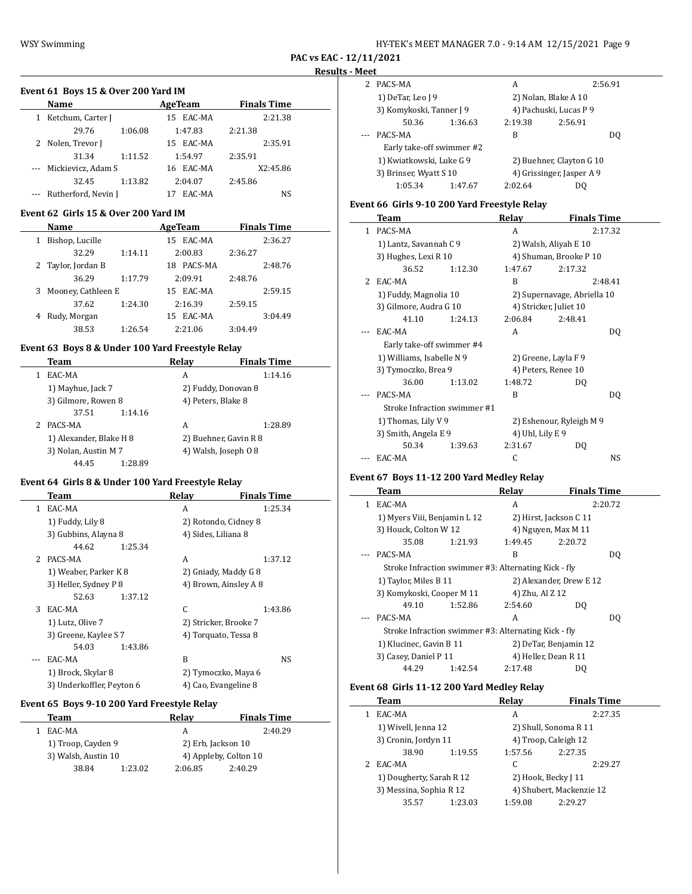| HY-TEK's MEET MANAGER 7.0 - 9:14 AM 12/15/2021 Page 9 |  |
|-------------------------------------------------------|--|
|-------------------------------------------------------|--|

 $\overline{a}$ 

#### **Event 61 Boys 15 & Over 200 Yard IM**

| Name                    |         | AgeTeam   | <b>Finals Time</b> |  |
|-------------------------|---------|-----------|--------------------|--|
| 1 Ketchum, Carter J     |         | 15 EAC-MA | 2:21.38            |  |
| 29.76                   | 1:06.08 | 1:47.83   | 2:21.38            |  |
| 2 Nolen, Trevor J       |         | 15 EAC-MA | 2:35.91            |  |
| 31.34                   | 1:11.52 | 1:54.97   | 2:35.91            |  |
| --- Mickievicz, Adam S  |         | 16 EAC-MA | X2:45.86           |  |
| 32.45                   | 1:13.82 | 2:04.07   | 2:45.86            |  |
| --- Rutherford, Nevin J |         | EAC-MA    | NS                 |  |

### **Event 62 Girls 15 & Over 200 Yard IM**

|    | <b>Name</b>        |         | AgeTeam       | <b>Finals Time</b> |  |
|----|--------------------|---------|---------------|--------------------|--|
|    | Bishop, Lucille    |         | EAC-MA<br>15  | 2:36.27            |  |
|    | 32.29              | 1:14.11 | 2:00.83       | 2:36.27            |  |
|    | 2 Taylor, Jordan B |         | PACS-MA<br>18 | 2:48.76            |  |
|    | 36.29              | 1:17.79 | 2:09.91       | 2:48.76            |  |
| 3. | Mooney, Cathleen E |         | EAC-MA<br>15  | 2:59.15            |  |
|    | 37.62              | 1:24.30 | 2:16.39       | 2:59.15            |  |
|    | Rudy, Morgan       |         | EAC-MA<br>15  | 3:04.49            |  |
|    | 38.53              | 1:26.54 | 2:21.06       | 3:04.49            |  |

# **Event 63 Boys 8 & Under 100 Yard Freestyle Relay**

| Team                    | Relay                 | <b>Finals Time</b> |
|-------------------------|-----------------------|--------------------|
| EAC-MA                  | A                     | 1:14.16            |
| 1) Mayhue, Jack 7       | 2) Fuddy, Donovan 8   |                    |
| 3) Gilmore, Rowen 8     | 4) Peters, Blake 8    |                    |
| 37.51<br>1:14.16        |                       |                    |
| PACS-MA                 | А                     | 1:28.89            |
| 1) Alexander, Blake H 8 | 2) Buehner, Gavin R 8 |                    |
| 3) Nolan, Austin M 7    | 4) Walsh, Joseph 0 8  |                    |
| 44.45<br>1:28.89        |                       |                    |

# **Event 64 Girls 8 & Under 100 Yard Freestyle Relay**

|    | Team                      | Relay                 | <b>Finals Time</b>    |
|----|---------------------------|-----------------------|-----------------------|
| 1. | EAC-MA                    | A                     | 1:25.34               |
|    | 1) Fuddy, Lily 8          | 2) Rotondo, Cidney 8  |                       |
|    | 3) Gubbins, Alayna 8      | 4) Sides, Liliana 8   |                       |
|    | 44.62<br>1:25.34          |                       |                       |
|    | 2 PACS-MA                 | A                     | 1:37.12               |
|    | 1) Weaber, Parker K 8     | 2) Gniady, Maddy G 8  |                       |
|    | 3) Heller, Sydney P 8     |                       | 4) Brown, Ainsley A 8 |
|    | 52.63<br>1:37.12          |                       |                       |
| 3  | EAC-MA                    | C                     | 1:43.86               |
|    | 1) Lutz, Olive 7          | 2) Stricker, Brooke 7 |                       |
|    | 3) Greene, Kaylee S 7     | 4) Torquato, Tessa 8  |                       |
|    | 54.03<br>1:43.86          |                       |                       |
|    | EAC-MA                    | B                     | NS                    |
|    | 1) Brock, Skylar 8        | 2) Tymoczko, Maya 6   |                       |
|    | 3) Underkoffler, Peyton 6 | 4) Cao, Evangeline 8  |                       |

# **Event 65 Boys 9-10 200 Yard Freestyle Relay**

| Team               |                     | Relay              | <b>Finals Time</b>    |  |
|--------------------|---------------------|--------------------|-----------------------|--|
| EAC-MA             |                     | А                  | 2:40.29               |  |
| 1) Troop, Cayden 9 |                     | 2) Erb, Jackson 10 |                       |  |
|                    | 3) Walsh, Austin 10 |                    | 4) Appleby, Colton 10 |  |
| 38.84              | 1:23.02             | 2:06.85            | 2:40.29               |  |

| 2 | PACS-MA                   |         | А                        |                           | 2:56.91 |
|---|---------------------------|---------|--------------------------|---------------------------|---------|
|   | 1) DeTar, Leo J 9         |         |                          | 2) Nolan, Blake A 10      |         |
|   | 3) Komykoski, Tanner J 9  |         | 4) Pachuski, Lucas P 9   |                           |         |
|   | 50.36                     | 1:36.63 | 2:19.38                  | 2:56.91                   |         |
|   | PACS-MA                   |         | В                        |                           | DO      |
|   | Early take-off swimmer #2 |         |                          |                           |         |
|   | 1) Kwiatkowski, Luke G 9  |         | 2) Buehner, Clayton G 10 |                           |         |
|   | 3) Brinser, Wyatt S 10    |         |                          | 4) Grissinger, Jasper A 9 |         |
|   | 1:05.34                   | 1:47.67 | 2:02.64                  | DΟ                        |         |

# **Event 66 Girls 9-10 200 Yard Freestyle Relay**

|              | Team                         |         | Relay               | <b>Finals Time</b>          |  |
|--------------|------------------------------|---------|---------------------|-----------------------------|--|
| $\mathbf{1}$ | PACS-MA                      |         | A                   | 2:17.32                     |  |
|              | 1) Lantz, Savannah C 9       |         |                     | 2) Walsh, Aliyah E 10       |  |
|              | 3) Hughes, Lexi R 10         |         |                     | 4) Shuman, Brooke P 10      |  |
|              | 36.52                        | 1:12.30 | 1:47.67             | 2:17.32                     |  |
| 2            | EAC-MA                       |         | R                   | 2:48.41                     |  |
|              | 1) Fuddy, Magnolia 10        |         |                     | 2) Supernavage, Abriella 10 |  |
|              | 3) Gilmore, Audra G 10       |         |                     | 4) Stricker, Juliet 10      |  |
|              | 41.10                        | 1:24.13 | 2:06.84             | 2:48.41                     |  |
|              | EAC-MA                       |         | A                   | DQ                          |  |
|              | Early take-off swimmer #4    |         |                     |                             |  |
|              | 1) Williams, Isabelle N 9    |         |                     | 2) Greene, Layla F 9        |  |
|              | 3) Tymoczko, Brea 9          |         | 4) Peters, Renee 10 |                             |  |
|              | 36.00                        | 1:13.02 | 1:48.72             | DO.                         |  |
|              | PACS-MA                      |         | R                   | DO.                         |  |
|              | Stroke Infraction swimmer #1 |         |                     |                             |  |
|              | 1) Thomas, Lily V 9          |         |                     | 2) Eshenour, Ryleigh M 9    |  |
|              | 3) Smith, Angela E 9         |         | 4) Uhl, Lily E 9    |                             |  |
|              | 50.34                        | 1:39.63 | 2:31.67             | DQ                          |  |
|              | EAC-MA                       |         | C                   | NS                          |  |

# **Event 67 Boys 11-12 200 Yard Medley Relay**

|   | <b>Team</b>                                          |         | Relay           | <b>Finals Time</b>      |         |
|---|------------------------------------------------------|---------|-----------------|-------------------------|---------|
| 1 | EAC-MA                                               |         | A               |                         | 2:20.72 |
|   | 1) Myers Viii, Benjamin L 12                         |         |                 | 2) Hirst, Jackson C 11  |         |
|   | 3) Houck, Colton W 12                                |         |                 | 4) Nguyen, Max M 11     |         |
|   | 35.08                                                | 1:21.93 | 1:49.45         | 2:20.72                 |         |
|   | PACS-MA                                              |         | B               |                         | DO.     |
|   | Stroke Infraction swimmer #3: Alternating Kick - fly |         |                 |                         |         |
|   | 1) Taylor, Miles B 11                                |         |                 | 2) Alexander, Drew E 12 |         |
|   | 3) Komykoski, Cooper M 11                            |         | 4) Zhu, Al Z 12 |                         |         |
|   | 49.10                                                | 1:52.86 | 2:54.60         | DO.                     |         |
|   | PACS-MA                                              |         | A               |                         | DO.     |
|   | Stroke Infraction swimmer #3: Alternating Kick - fly |         |                 |                         |         |
|   | 1) Klucinec, Gavin B 11                              |         |                 | 2) DeTar, Benjamin 12   |         |
|   | 3) Casey, Daniel P 11                                |         |                 | 4) Heller, Dean R 11    |         |
|   | 44.29                                                | 1:42.54 | 2:17.48         | DO.                     |         |

# **Event 68 Girls 11-12 200 Yard Medley Relay**

 $\overline{a}$ 

| Team                     |         | Relav   | <b>Finals Time</b>       |
|--------------------------|---------|---------|--------------------------|
| EAC-MA                   |         | A       | 2:27.35                  |
| 1) Wivell, Jenna 12      |         |         | 2) Shull, Sonoma R 11    |
| 3) Cronin, Jordyn 11     |         |         | 4) Troop, Caleigh 12     |
| 38.90                    | 1:19.55 | 1:57.56 | 2:27.35                  |
| EAC-MA                   |         | C       | 2:29.27                  |
| 1) Dougherty, Sarah R 12 |         |         | 2) Hook, Becky J 11      |
| 3) Messina, Sophia R 12  |         |         | 4) Shubert, Mackenzie 12 |
| 35.57                    | 1:23.03 | 1:59.08 | 2:29.27                  |